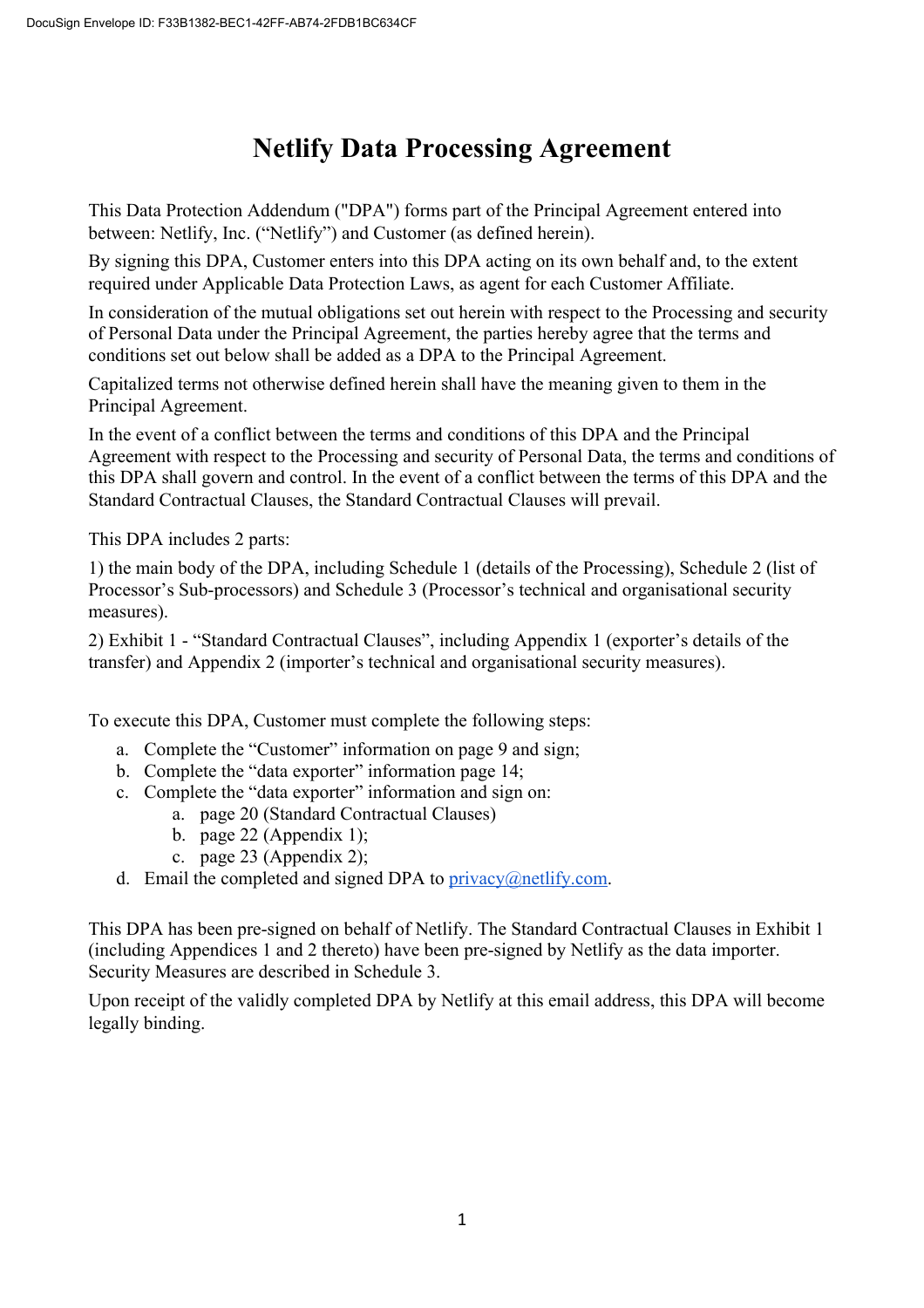# **Netlify Data Processing Agreement**

This Data Protection Addendum ("DPA") forms part of the Principal Agreement entered into between: Netlify, Inc. ("Netlify") and Customer (as defined herein).

By signing this DPA, Customer enters into this DPA acting on its own behalf and, to the extent required under Applicable Data Protection Laws, as agent for each Customer Affiliate.

In consideration of the mutual obligations set out herein with respect to the Processing and security of Personal Data under the Principal Agreement, the parties hereby agree that the terms and conditions set out below shall be added as a DPA to the Principal Agreement.

Capitalized terms not otherwise defined herein shall have the meaning given to them in the Principal Agreement.

In the event of a conflict between the terms and conditions of this DPA and the Principal Agreement with respect to the Processing and security of Personal Data, the terms and conditions of this DPA shall govern and control. In the event of a conflict between the terms of this DPA and the Standard Contractual Clauses, the Standard Contractual Clauses will prevail.

This DPA includes 2 parts:

1) the main body of the DPA, including Schedule 1 (details of the Processing), Schedule 2 (list of Processor's Sub-processors) and Schedule 3 (Processor's technical and organisational security measures).

2) Exhibit 1 - "Standard Contractual Clauses", including Appendix 1 (exporter's details of the transfer) and Appendix 2 (importer's technical and organisational security measures).

To execute this DPA, Customer must complete the following steps:

- a. Complete the "Customer" information on page 9 and sign;
- b. Complete the "data exporter" information page 14;
- c. Complete the "data exporter" information and sign on:
	- a. page 20 (Standard Contractual Clauses)
	- b. page 22 (Appendix 1);
	- c. page 23 (Appendix 2);
- d. Email the completed and signed DPA to  $\frac{p}{q}$  privacy $\frac{a}{q}$  netlify.com.

This DPA has been pre-signed on behalf of Netlify. The Standard Contractual Clauses in Exhibit 1 (including Appendices 1 and 2 thereto) have been pre-signed by Netlify as the data importer. Security Measures are described in Schedule 3.

Upon receipt of the validly completed DPA by Netlify at this email address, this DPA will become legally binding.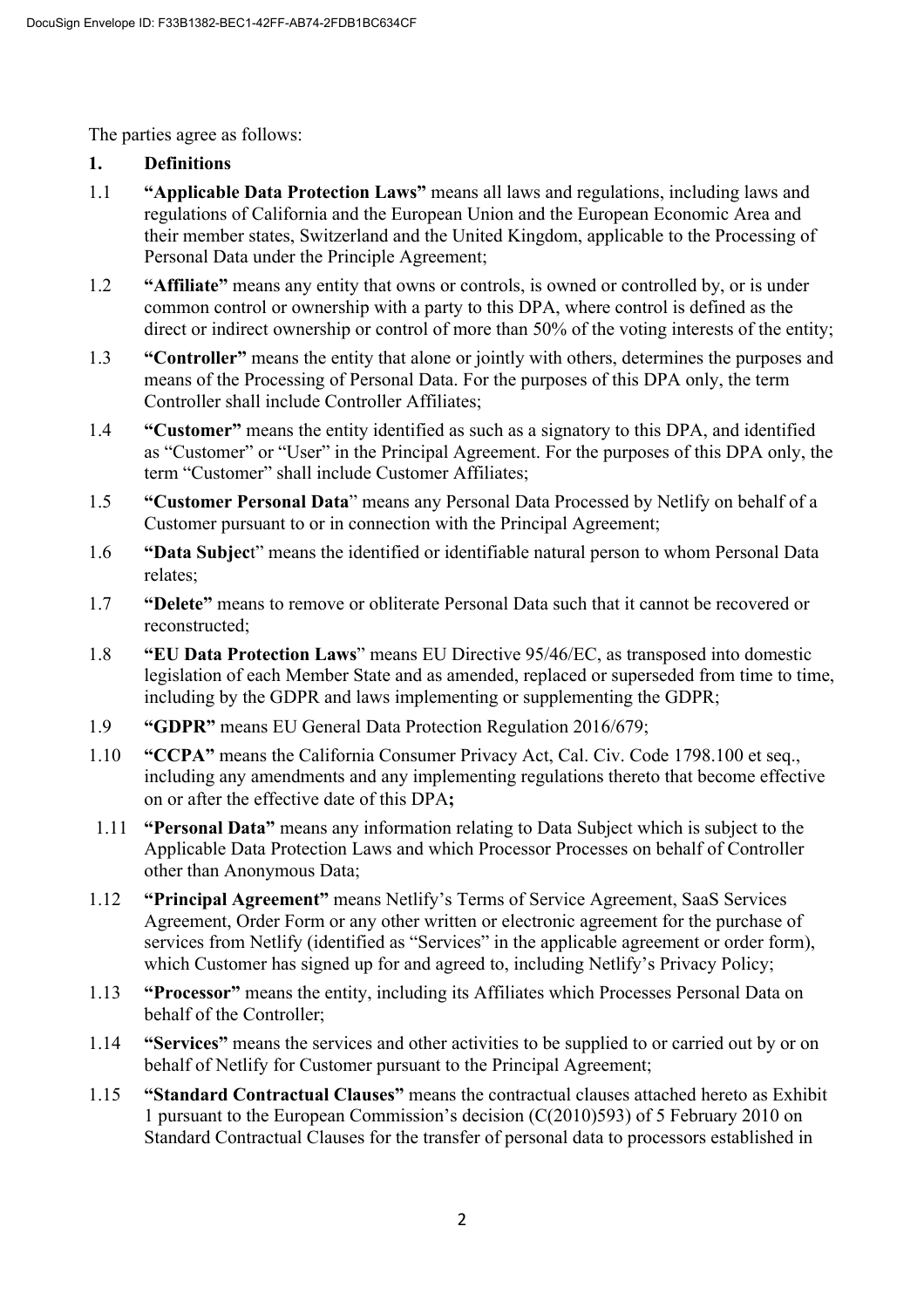The parties agree as follows:

# **1. Definitions**

- 1.1 **"Applicable Data Protection Laws"** means all laws and regulations, including laws and regulations of California and the European Union and the European Economic Area and their member states, Switzerland and the United Kingdom, applicable to the Processing of Personal Data under the Principle Agreement;
- 1.2 **"Affiliate"** means any entity that owns or controls, is owned or controlled by, or is under common control or ownership with a party to this DPA, where control is defined as the direct or indirect ownership or control of more than 50% of the voting interests of the entity;
- 1.3 **"Controller"** means the entity that alone or jointly with others, determines the purposes and means of the Processing of Personal Data. For the purposes of this DPA only, the term Controller shall include Controller Affiliates;
- 1.4 **"Customer"** means the entity identified as such as a signatory to this DPA, and identified as "Customer" or "User" in the Principal Agreement. For the purposes of this DPA only, the term "Customer" shall include Customer Affiliates;
- 1.5 **"Customer Personal Data**" means any Personal Data Processed by Netlify on behalf of a Customer pursuant to or in connection with the Principal Agreement;
- 1.6 **"Data Subjec**t" means the identified or identifiable natural person to whom Personal Data relates;
- 1.7 **"Delete"** means to remove or obliterate Personal Data such that it cannot be recovered or reconstructed;
- 1.8 **"EU Data Protection Laws**" means EU Directive 95/46/EC, as transposed into domestic legislation of each Member State and as amended, replaced or superseded from time to time, including by the GDPR and laws implementing or supplementing the GDPR;
- 1.9 **"GDPR"** means EU General Data Protection Regulation 2016/679;
- 1.10 **"CCPA"** means the California Consumer Privacy Act, Cal. Civ. Code 1798.100 et seq., including any amendments and any implementing regulations thereto that become effective on or after the effective date of this DPA**;**
- 1.11 **"Personal Data"** means any information relating to Data Subject which is subject to the Applicable Data Protection Laws and which Processor Processes on behalf of Controller other than Anonymous Data;
- 1.12 **"Principal Agreement"** means Netlify's Terms of Service Agreement, SaaS Services Agreement, Order Form or any other written or electronic agreement for the purchase of services from Netlify (identified as "Services" in the applicable agreement or order form), which Customer has signed up for and agreed to, including Netlify's Privacy Policy;
- 1.13 **"Processor"** means the entity, including its Affiliates which Processes Personal Data on behalf of the Controller;
- 1.14 **"Services"** means the services and other activities to be supplied to or carried out by or on behalf of Netlify for Customer pursuant to the Principal Agreement;
- 1.15 **"Standard Contractual Clauses"** means the contractual clauses attached hereto as Exhibit 1 pursuant to the European Commission's decision (C(2010)593) of 5 February 2010 on Standard Contractual Clauses for the transfer of personal data to processors established in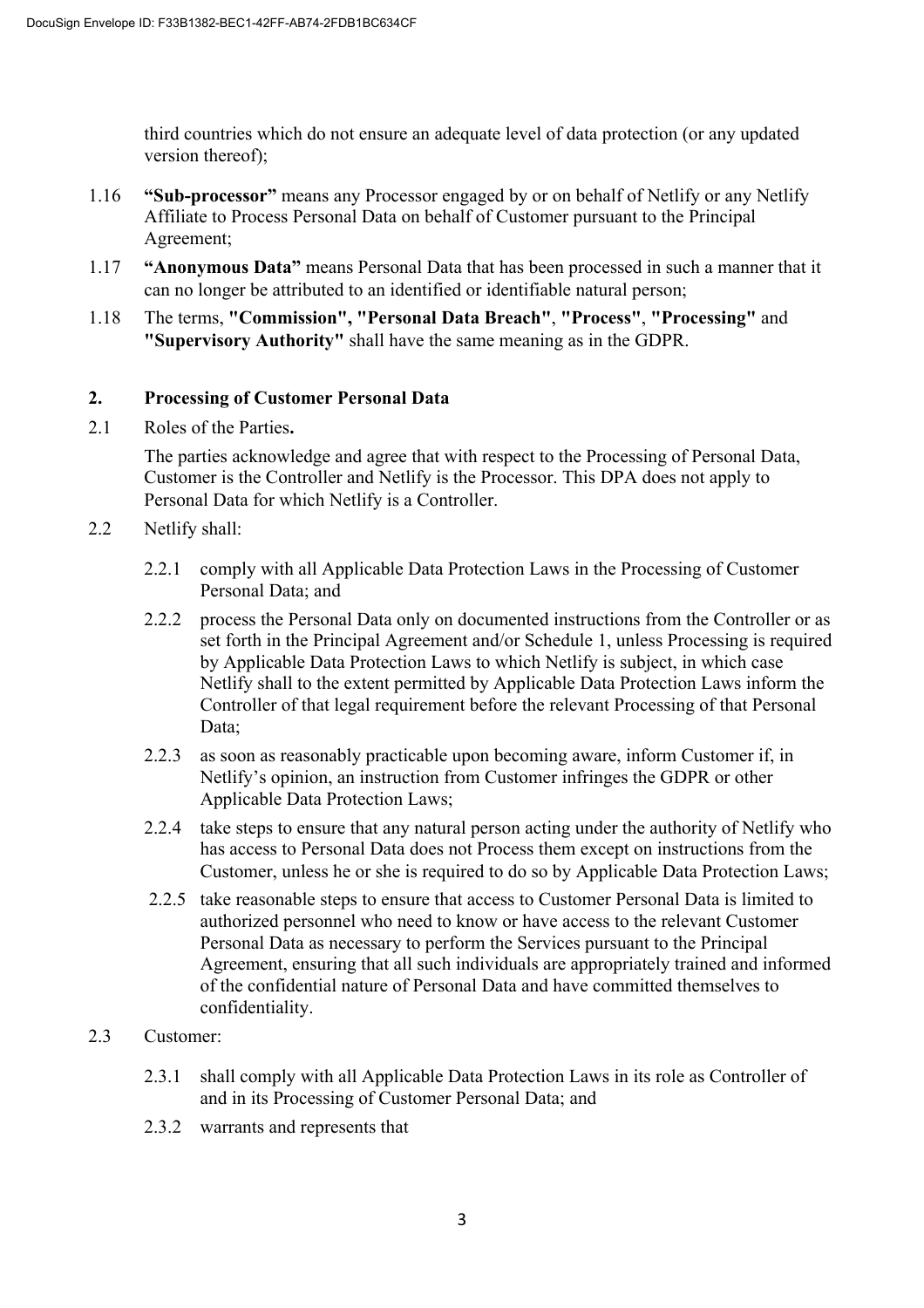third countries which do not ensure an adequate level of data protection (or any updated version thereof);

- 1.16 **"Sub-processor"** means any Processor engaged by or on behalf of Netlify or any Netlify Affiliate to Process Personal Data on behalf of Customer pursuant to the Principal Agreement;
- 1.17 **"Anonymous Data"** means Personal Data that has been processed in such a manner that it can no longer be attributed to an identified or identifiable natural person;
- 1.18 The terms, **"Commission", "Personal Data Breach"**, **"Process"**, **"Processing"** and **"Supervisory Authority"** shall have the same meaning as in the GDPR.

#### **2. Processing of Customer Personal Data**

2.1 Roles of the Parties**.** 

The parties acknowledge and agree that with respect to the Processing of Personal Data, Customer is the Controller and Netlify is the Processor. This DPA does not apply to Personal Data for which Netlify is a Controller.

- 2.2 Netlify shall:
	- 2.2.1 comply with all Applicable Data Protection Laws in the Processing of Customer Personal Data; and
	- 2.2.2 process the Personal Data only on documented instructions from the Controller or as set forth in the Principal Agreement and/or Schedule 1, unless Processing is required by Applicable Data Protection Laws to which Netlify is subject, in which case Netlify shall to the extent permitted by Applicable Data Protection Laws inform the Controller of that legal requirement before the relevant Processing of that Personal Data;
	- 2.2.3 as soon as reasonably practicable upon becoming aware, inform Customer if, in Netlify's opinion, an instruction from Customer infringes the GDPR or other Applicable Data Protection Laws;
	- 2.2.4 take steps to ensure that any natural person acting under the authority of Netlify who has access to Personal Data does not Process them except on instructions from the Customer, unless he or she is required to do so by Applicable Data Protection Laws;
	- 2.2.5 take reasonable steps to ensure that access to Customer Personal Data is limited to authorized personnel who need to know or have access to the relevant Customer Personal Data as necessary to perform the Services pursuant to the Principal Agreement, ensuring that all such individuals are appropriately trained and informed of the confidential nature of Personal Data and have committed themselves to confidentiality.
- 2.3 Customer:
	- 2.3.1 shall comply with all Applicable Data Protection Laws in its role as Controller of and in its Processing of Customer Personal Data; and
	- 2.3.2 warrants and represents that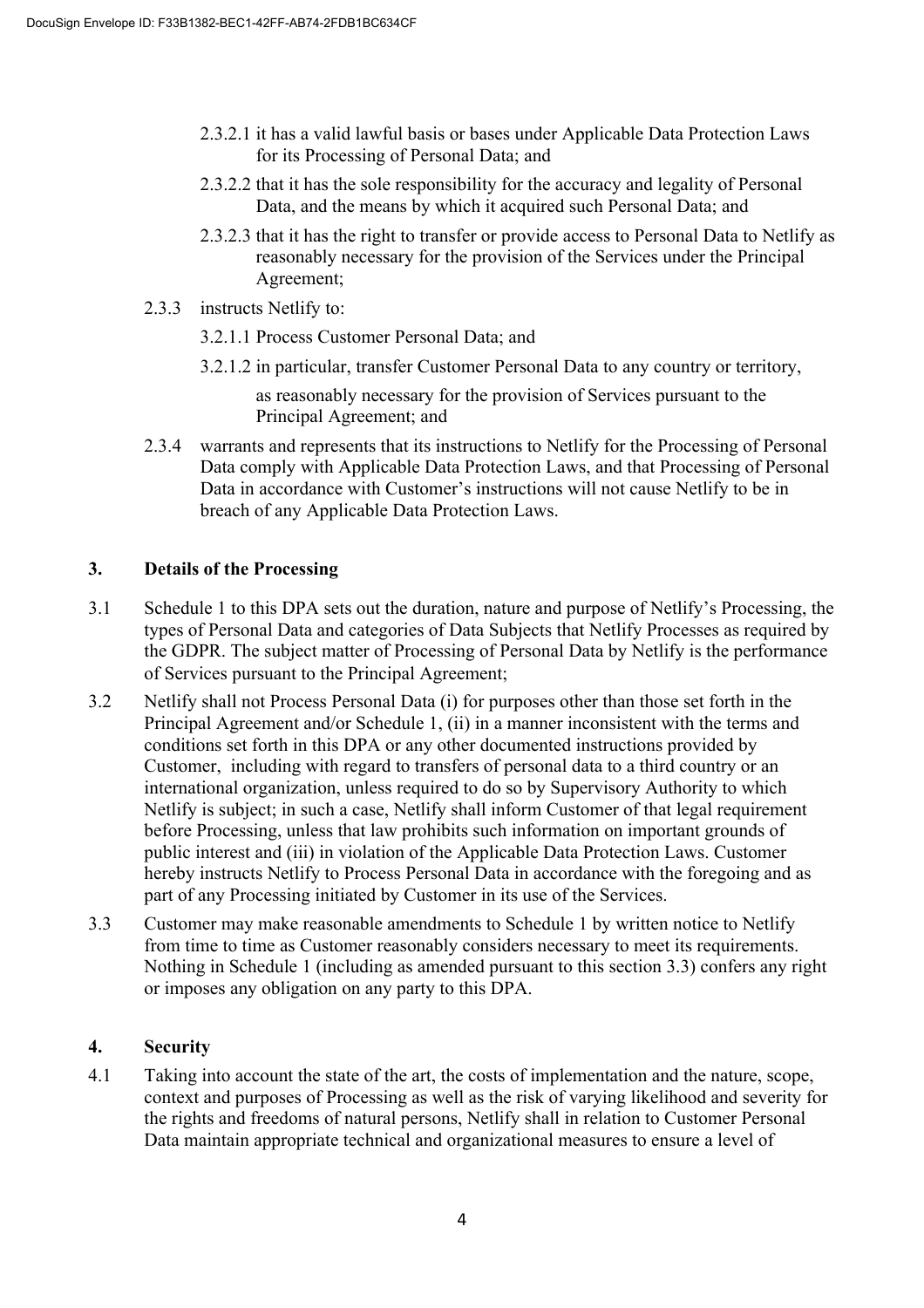- 2.3.2.1 it has a valid lawful basis or bases under Applicable Data Protection Laws for its Processing of Personal Data; and
- 2.3.2.2 that it has the sole responsibility for the accuracy and legality of Personal Data, and the means by which it acquired such Personal Data; and
- 2.3.2.3 that it has the right to transfer or provide access to Personal Data to Netlify as reasonably necessary for the provision of the Services under the Principal Agreement;
- 2.3.3 instructs Netlify to:
	- 3.2.1.1 Process Customer Personal Data; and
	- 3.2.1.2 in particular, transfer Customer Personal Data to any country or territory, as reasonably necessary for the provision of Services pursuant to the Principal Agreement; and
- 2.3.4 warrants and represents that its instructions to Netlify for the Processing of Personal Data comply with Applicable Data Protection Laws, and that Processing of Personal Data in accordance with Customer's instructions will not cause Netlify to be in breach of any Applicable Data Protection Laws.

# **3. Details of the Processing**

- 3.1 Schedule 1 to this DPA sets out the duration, nature and purpose of Netlify's Processing, the types of Personal Data and categories of Data Subjects that Netlify Processes as required by the GDPR. The subject matter of Processing of Personal Data by Netlify is the performance of Services pursuant to the Principal Agreement;
- 3.2 Netlify shall not Process Personal Data (i) for purposes other than those set forth in the Principal Agreement and/or Schedule 1, (ii) in a manner inconsistent with the terms and conditions set forth in this DPA or any other documented instructions provided by Customer, including with regard to transfers of personal data to a third country or an international organization, unless required to do so by Supervisory Authority to which Netlify is subject; in such a case, Netlify shall inform Customer of that legal requirement before Processing, unless that law prohibits such information on important grounds of public interest and (iii) in violation of the Applicable Data Protection Laws. Customer hereby instructs Netlify to Process Personal Data in accordance with the foregoing and as part of any Processing initiated by Customer in its use of the Services.
- 3.3 Customer may make reasonable amendments to Schedule 1 by written notice to Netlify from time to time as Customer reasonably considers necessary to meet its requirements. Nothing in Schedule 1 (including as amended pursuant to this section 3.3) confers any right or imposes any obligation on any party to this DPA.

### **4. Security**

4.1 Taking into account the state of the art, the costs of implementation and the nature, scope, context and purposes of Processing as well as the risk of varying likelihood and severity for the rights and freedoms of natural persons, Netlify shall in relation to Customer Personal Data maintain appropriate technical and organizational measures to ensure a level of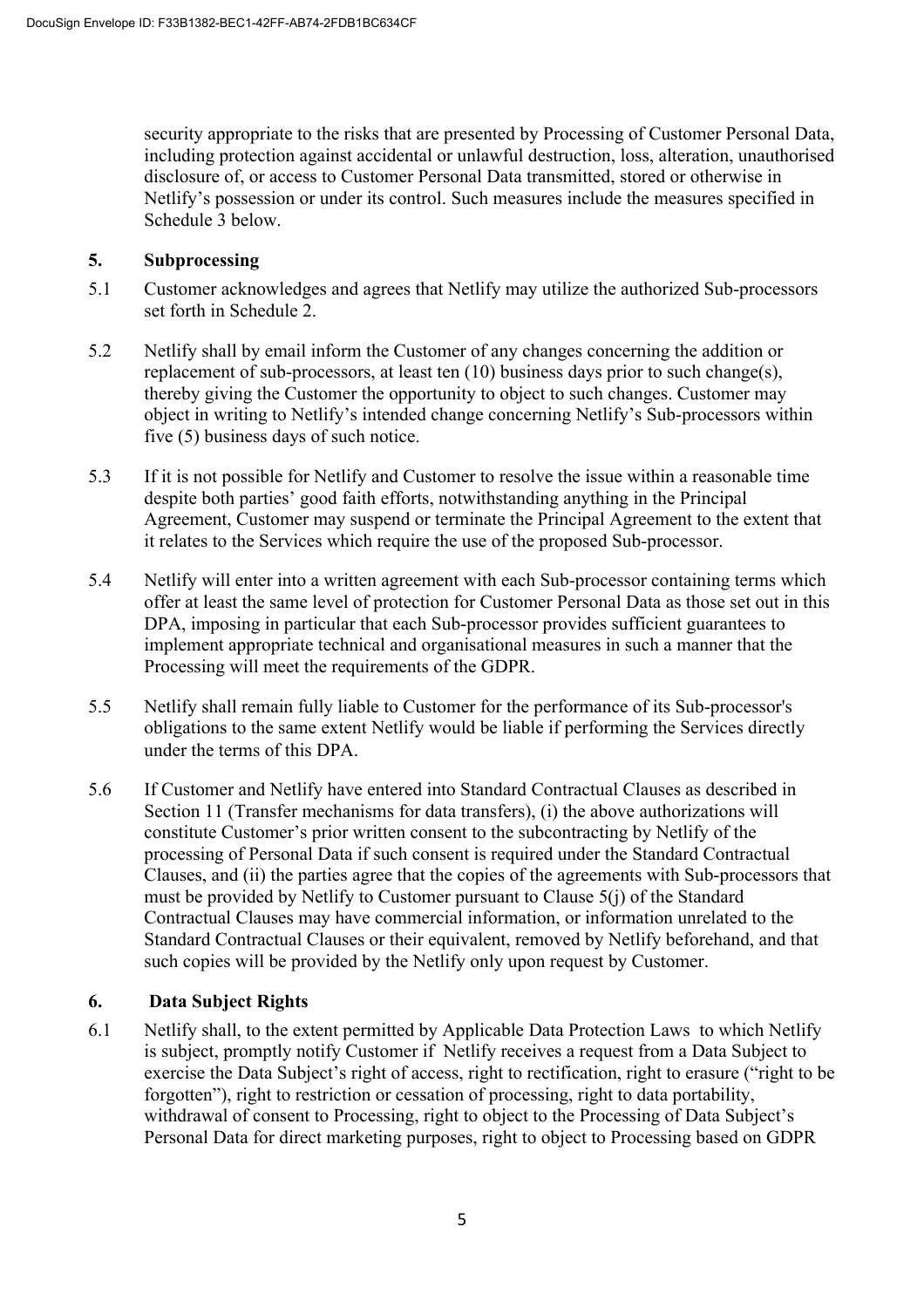security appropriate to the risks that are presented by Processing of Customer Personal Data, including protection against accidental or unlawful destruction, loss, alteration, unauthorised disclosure of, or access to Customer Personal Data transmitted, stored or otherwise in Netlify's possession or under its control. Such measures include the measures specified in Schedule 3 below.

### **5. Subprocessing**

- 5.1 Customer acknowledges and agrees that Netlify may utilize the authorized Sub-processors set forth in Schedule 2.
- 5.2 Netlify shall by email inform the Customer of any changes concerning the addition or replacement of sub-processors, at least ten (10) business days prior to such change(s), thereby giving the Customer the opportunity to object to such changes. Customer may object in writing to Netlify's intended change concerning Netlify's Sub-processors within five (5) business days of such notice.
- 5.3 If it is not possible for Netlify and Customer to resolve the issue within a reasonable time despite both parties' good faith efforts, notwithstanding anything in the Principal Agreement, Customer may suspend or terminate the Principal Agreement to the extent that it relates to the Services which require the use of the proposed Sub-processor.
- 5.4 Netlify will enter into a written agreement with each Sub-processor containing terms which offer at least the same level of protection for Customer Personal Data as those set out in this DPA, imposing in particular that each Sub-processor provides sufficient guarantees to implement appropriate technical and organisational measures in such a manner that the Processing will meet the requirements of the GDPR.
- 5.5 Netlify shall remain fully liable to Customer for the performance of its Sub-processor's obligations to the same extent Netlify would be liable if performing the Services directly under the terms of this DPA.
- 5.6 If Customer and Netlify have entered into Standard Contractual Clauses as described in Section 11 (Transfer mechanisms for data transfers), (i) the above authorizations will constitute Customer's prior written consent to the subcontracting by Netlify of the processing of Personal Data if such consent is required under the Standard Contractual Clauses, and (ii) the parties agree that the copies of the agreements with Sub-processors that must be provided by Netlify to Customer pursuant to Clause 5(j) of the Standard Contractual Clauses may have commercial information, or information unrelated to the Standard Contractual Clauses or their equivalent, removed by Netlify beforehand, and that such copies will be provided by the Netlify only upon request by Customer.

# **6. Data Subject Rights**

6.1 Netlify shall, to the extent permitted by Applicable Data Protection Laws to which Netlify is subject, promptly notify Customer if Netlify receives a request from a Data Subject to exercise the Data Subject's right of access, right to rectification, right to erasure ("right to be forgotten"), right to restriction or cessation of processing, right to data portability, withdrawal of consent to Processing, right to object to the Processing of Data Subject's Personal Data for direct marketing purposes, right to object to Processing based on GDPR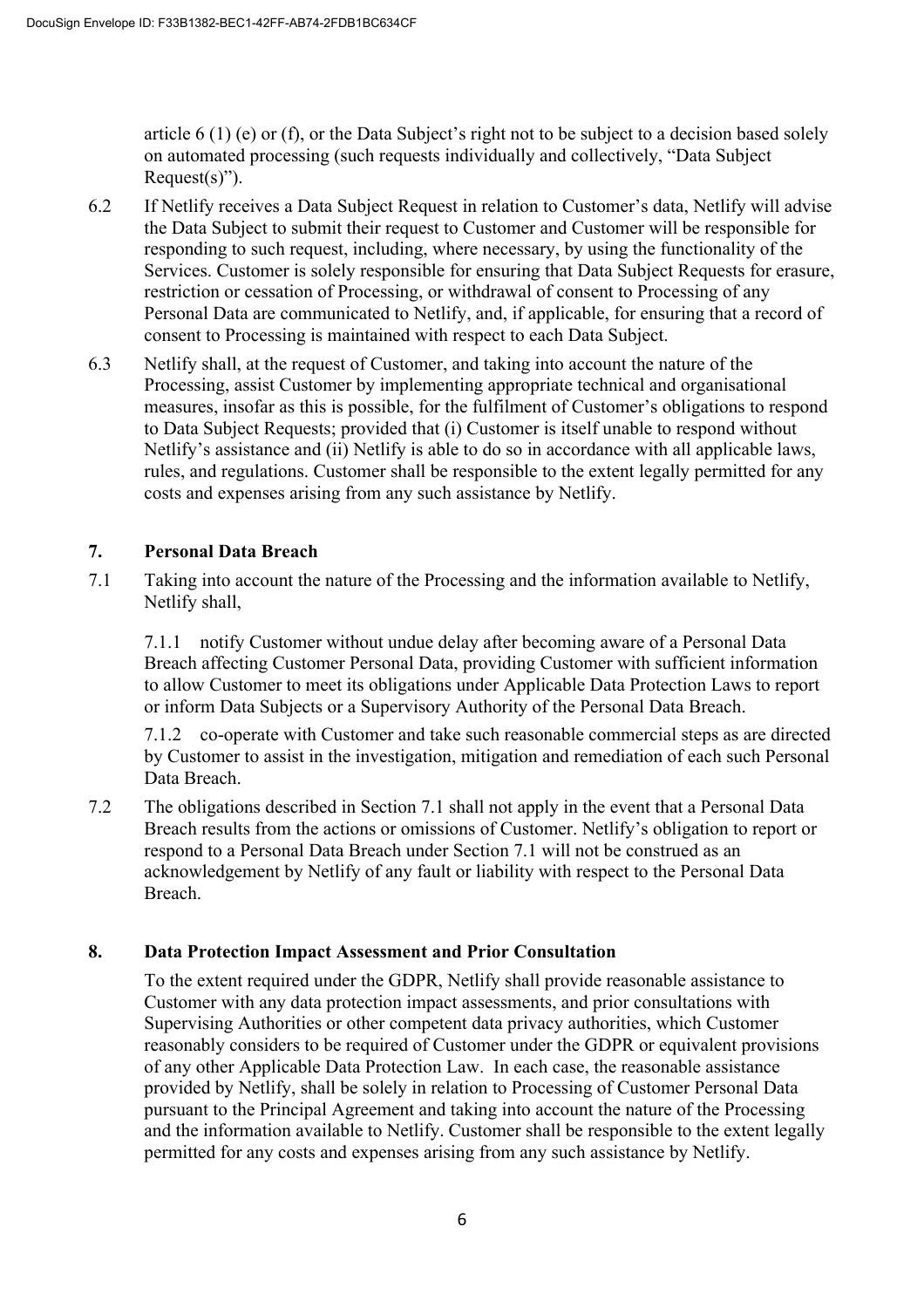article 6 (1) (e) or (f), or the Data Subject's right not to be subject to a decision based solely on automated processing (such requests individually and collectively, "Data Subject  $Request(s)$ ").

- 6.2 If Netlify receives a Data Subject Request in relation to Customer's data, Netlify will advise the Data Subject to submit their request to Customer and Customer will be responsible for responding to such request, including, where necessary, by using the functionality of the Services. Customer is solely responsible for ensuring that Data Subject Requests for erasure, restriction or cessation of Processing, or withdrawal of consent to Processing of any Personal Data are communicated to Netlify, and, if applicable, for ensuring that a record of consent to Processing is maintained with respect to each Data Subject.
- 6.3 Netlify shall, at the request of Customer, and taking into account the nature of the Processing, assist Customer by implementing appropriate technical and organisational measures, insofar as this is possible, for the fulfilment of Customer's obligations to respond to Data Subject Requests; provided that (i) Customer is itself unable to respond without Netlify's assistance and (ii) Netlify is able to do so in accordance with all applicable laws, rules, and regulations. Customer shall be responsible to the extent legally permitted for any costs and expenses arising from any such assistance by Netlify.

### **7. Personal Data Breach**

7.1 Taking into account the nature of the Processing and the information available to Netlify, Netlify shall,

7.1.1 notify Customer without undue delay after becoming aware of a Personal Data Breach affecting Customer Personal Data, providing Customer with sufficient information to allow Customer to meet its obligations under Applicable Data Protection Laws to report or inform Data Subjects or a Supervisory Authority of the Personal Data Breach.

7.1.2 co-operate with Customer and take such reasonable commercial steps as are directed by Customer to assist in the investigation, mitigation and remediation of each such Personal Data Breach.

7.2 The obligations described in Section 7.1 shall not apply in the event that a Personal Data Breach results from the actions or omissions of Customer. Netlify's obligation to report or respond to a Personal Data Breach under Section 7.1 will not be construed as an acknowledgement by Netlify of any fault or liability with respect to the Personal Data Breach.

### **8. Data Protection Impact Assessment and Prior Consultation**

To the extent required under the GDPR, Netlify shall provide reasonable assistance to Customer with any data protection impact assessments, and prior consultations with Supervising Authorities or other competent data privacy authorities, which Customer reasonably considers to be required of Customer under the GDPR or equivalent provisions of any other Applicable Data Protection Law. In each case, the reasonable assistance provided by Netlify, shall be solely in relation to Processing of Customer Personal Data pursuant to the Principal Agreement and taking into account the nature of the Processing and the information available to Netlify. Customer shall be responsible to the extent legally permitted for any costs and expenses arising from any such assistance by Netlify.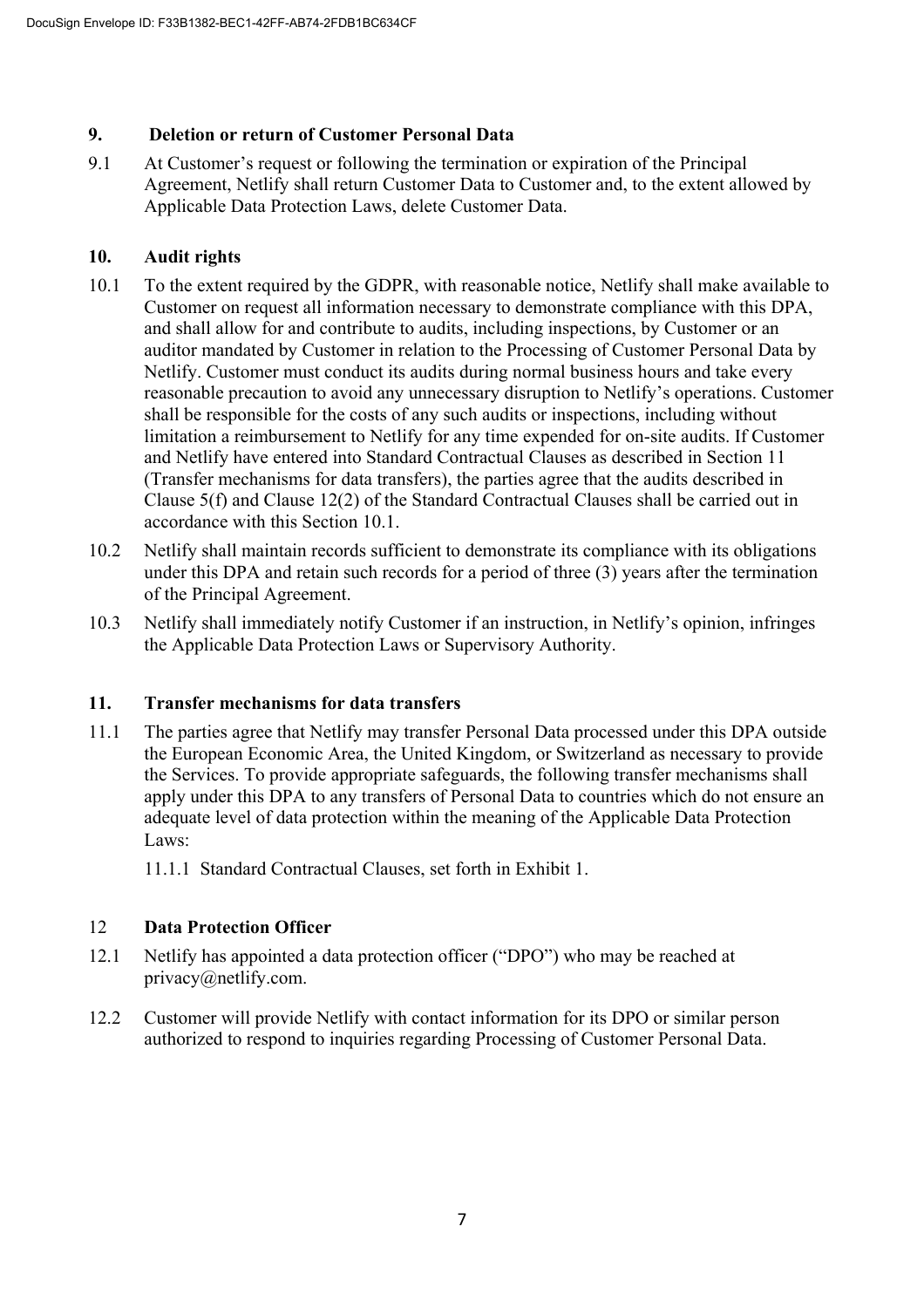# **9. Deletion or return of Customer Personal Data**

9.1 At Customer's request or following the termination or expiration of the Principal Agreement, Netlify shall return Customer Data to Customer and, to the extent allowed by Applicable Data Protection Laws, delete Customer Data.

# **10. Audit rights**

- 10.1 To the extent required by the GDPR, with reasonable notice, Netlify shall make available to Customer on request all information necessary to demonstrate compliance with this DPA, and shall allow for and contribute to audits, including inspections, by Customer or an auditor mandated by Customer in relation to the Processing of Customer Personal Data by Netlify. Customer must conduct its audits during normal business hours and take every reasonable precaution to avoid any unnecessary disruption to Netlify's operations. Customer shall be responsible for the costs of any such audits or inspections, including without limitation a reimbursement to Netlify for any time expended for on-site audits. If Customer and Netlify have entered into Standard Contractual Clauses as described in Section 11 (Transfer mechanisms for data transfers), the parties agree that the audits described in Clause 5(f) and Clause 12(2) of the Standard Contractual Clauses shall be carried out in accordance with this Section 10.1.
- 10.2 Netlify shall maintain records sufficient to demonstrate its compliance with its obligations under this DPA and retain such records for a period of three (3) years after the termination of the Principal Agreement.
- 10.3 Netlify shall immediately notify Customer if an instruction, in Netlify's opinion, infringes the Applicable Data Protection Laws or Supervisory Authority.

# **11. Transfer mechanisms for data transfers**

11.1 The parties agree that Netlify may transfer Personal Data processed under this DPA outside the European Economic Area, the United Kingdom, or Switzerland as necessary to provide the Services. To provide appropriate safeguards, the following transfer mechanisms shall apply under this DPA to any transfers of Personal Data to countries which do not ensure an adequate level of data protection within the meaning of the Applicable Data Protection Laws:

11.1.1 Standard Contractual Clauses, set forth in Exhibit 1.

# 12 **Data Protection Officer**

- 12.1 Netlify has appointed a data protection officer ("DPO") who may be reached at privacy@netlify.com.
- 12.2 Customer will provide Netlify with contact information for its DPO or similar person authorized to respond to inquiries regarding Processing of Customer Personal Data.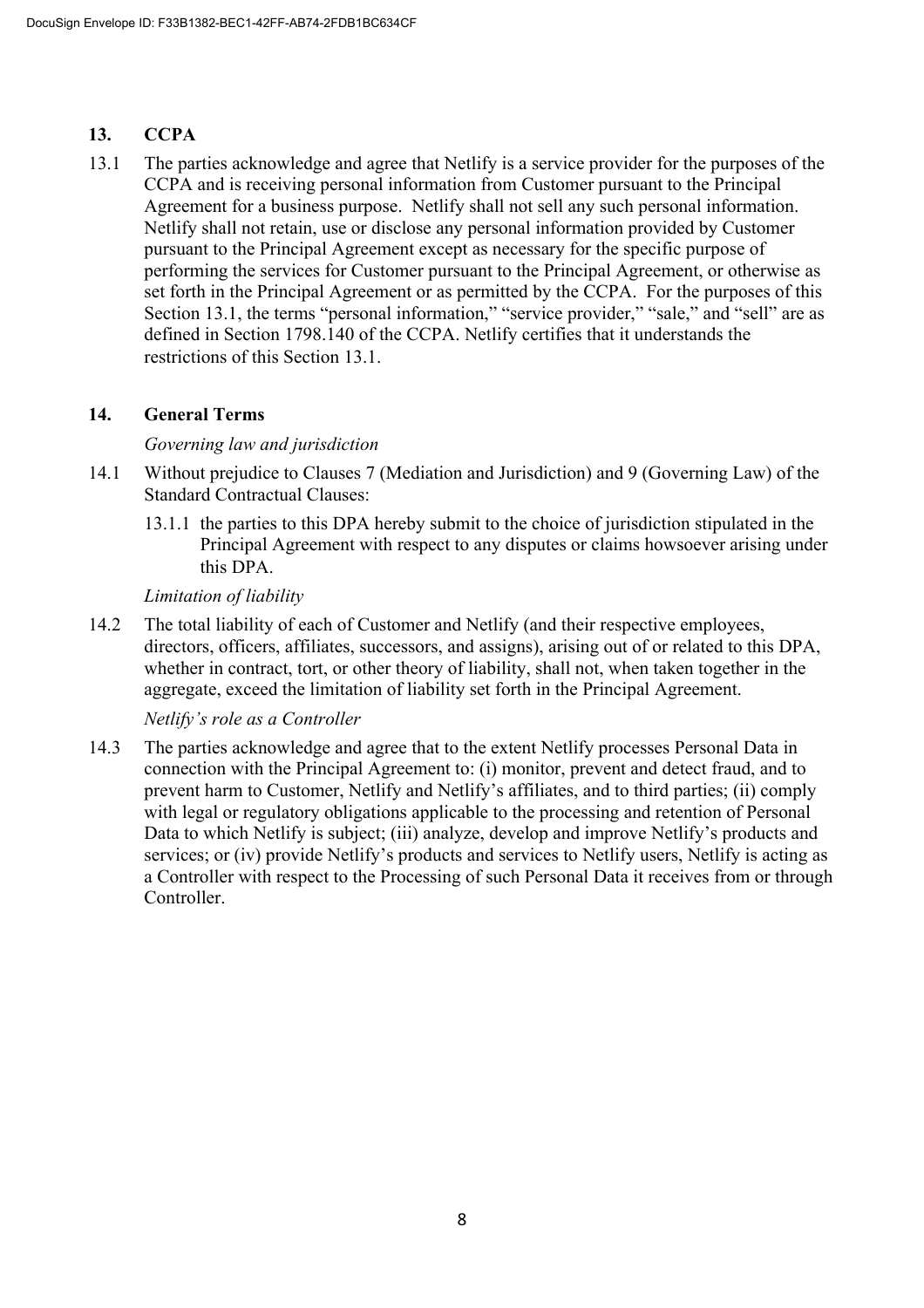# **13. CCPA**

13.1 The parties acknowledge and agree that Netlify is a service provider for the purposes of the CCPA and is receiving personal information from Customer pursuant to the Principal Agreement for a business purpose. Netlify shall not sell any such personal information. Netlify shall not retain, use or disclose any personal information provided by Customer pursuant to the Principal Agreement except as necessary for the specific purpose of performing the services for Customer pursuant to the Principal Agreement, or otherwise as set forth in the Principal Agreement or as permitted by the CCPA. For the purposes of this Section 13.1, the terms "personal information," "service provider," "sale," and "sell" are as defined in Section 1798.140 of the CCPA. Netlify certifies that it understands the restrictions of this Section 13.1.

# **14. General Terms**

# *Governing law and jurisdiction*

- 14.1 Without prejudice to Clauses 7 (Mediation and Jurisdiction) and 9 (Governing Law) of the Standard Contractual Clauses:
	- 13.1.1 the parties to this DPA hereby submit to the choice of jurisdiction stipulated in the Principal Agreement with respect to any disputes or claims howsoever arising under this DPA.

# *Limitation of liability*

14.2 The total liability of each of Customer and Netlify (and their respective employees, directors, officers, affiliates, successors, and assigns), arising out of or related to this DPA, whether in contract, tort, or other theory of liability, shall not, when taken together in the aggregate, exceed the limitation of liability set forth in the Principal Agreement.

# *Netlify's role as a Controller*

14.3 The parties acknowledge and agree that to the extent Netlify processes Personal Data in connection with the Principal Agreement to: (i) monitor, prevent and detect fraud, and to prevent harm to Customer, Netlify and Netlify's affiliates, and to third parties; (ii) comply with legal or regulatory obligations applicable to the processing and retention of Personal Data to which Netlify is subject; (iii) analyze, develop and improve Netlify's products and services; or (iv) provide Netlify's products and services to Netlify users, Netlify is acting as a Controller with respect to the Processing of such Personal Data it receives from or through Controller.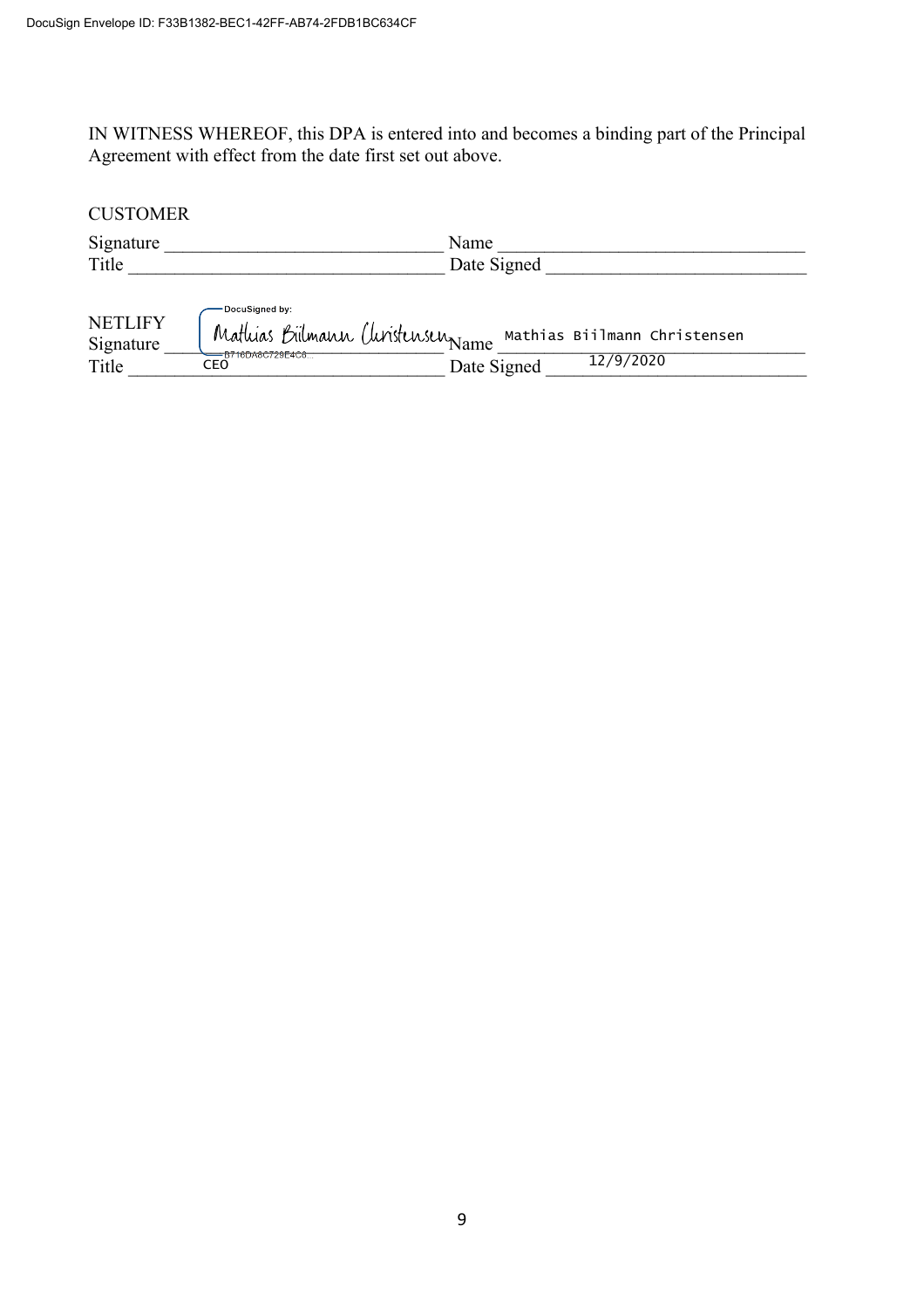IN WITNESS WHEREOF, this DPA is entered into and becomes a binding part of the Principal Agreement with effect from the date first set out above.

# **CUSTOMER** Signature and the set of the Signature and the Signature and the Signature and the Signature and the Signature Title **Example 2** Date Signed **Date Signed** — DocuSigned by: **NETLIFY** Mathias Biilmann Christensen  $Signature$  rignature  $\frac{1}{2}$  rignature  $\frac{1}{2}$  rignature  $\frac{1}{2}$  rignature  $\frac{1}{2}$  rignature  $\frac{1}{2}$  rignature  $\frac{1}{2}$  rignature  $\frac{1}{2}$  rignature  $\frac{1}{2}$  rignature  $\frac{1}{2}$  rignature  $\frac{1}{2}$  rignature  $\frac{1$ 12/9/2020Title \_\_\_\_\_\_\_\_\_\_\_\_\_\_\_\_\_\_\_\_\_\_\_\_\_\_\_\_\_\_\_\_\_\_ Date Signed \_\_\_\_\_\_\_\_\_\_\_\_\_\_\_\_\_\_\_\_\_\_\_\_\_\_\_\_ CEO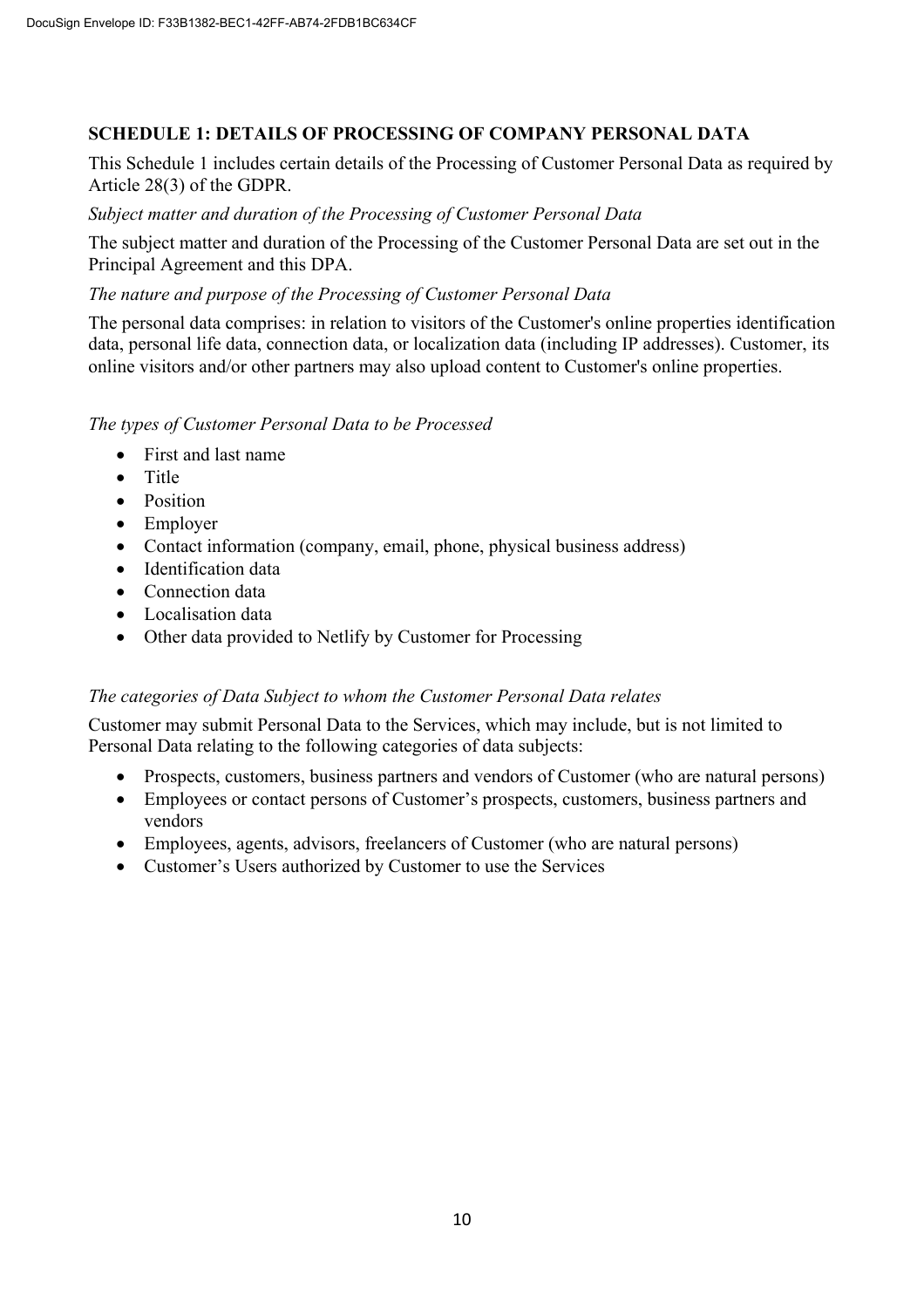# **SCHEDULE 1: DETAILS OF PROCESSING OF COMPANY PERSONAL DATA**

This Schedule 1 includes certain details of the Processing of Customer Personal Data as required by Article 28(3) of the GDPR.

### *Subject matter and duration of the Processing of Customer Personal Data*

The subject matter and duration of the Processing of the Customer Personal Data are set out in the Principal Agreement and this DPA.

### *The nature and purpose of the Processing of Customer Personal Data*

The personal data comprises: in relation to visitors of the Customer's online properties identification data, personal life data, connection data, or localization data (including IP addresses). Customer, its online visitors and/or other partners may also upload content to Customer's online properties.

### *The types of Customer Personal Data to be Processed*

- First and last name
- Title
- Position
- Employer
- Contact information (company, email, phone, physical business address)
- Identification data
- Connection data
- Localisation data
- Other data provided to Netlify by Customer for Processing

# *The categories of Data Subject to whom the Customer Personal Data relates*

Customer may submit Personal Data to the Services, which may include, but is not limited to Personal Data relating to the following categories of data subjects:

- Prospects, customers, business partners and vendors of Customer (who are natural persons)
- Employees or contact persons of Customer's prospects, customers, business partners and vendors
- Employees, agents, advisors, freelancers of Customer (who are natural persons)
- Customer's Users authorized by Customer to use the Services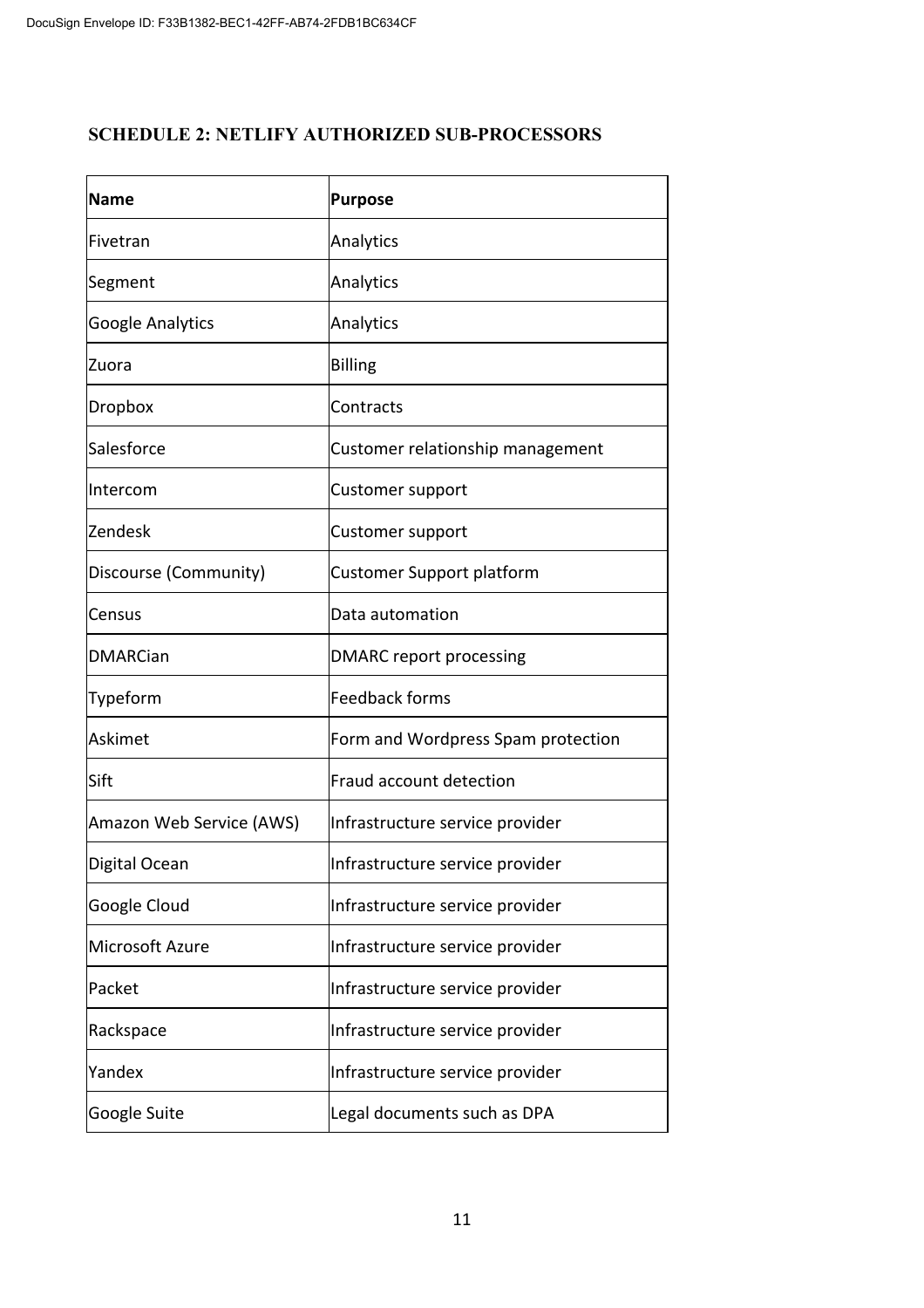# **SCHEDULE 2: NETLIFY AUTHORIZED SUB-PROCESSORS**

| <b>Name</b>              | <b>Purpose</b>                     |  |  |
|--------------------------|------------------------------------|--|--|
| Fivetran                 | Analytics                          |  |  |
| Segment                  | Analytics                          |  |  |
| <b>Google Analytics</b>  | Analytics                          |  |  |
| Zuora                    | <b>Billing</b>                     |  |  |
| Dropbox                  | Contracts                          |  |  |
| Salesforce               | Customer relationship management   |  |  |
| Intercom                 | Customer support                   |  |  |
| Zendesk                  | Customer support                   |  |  |
| Discourse (Community)    | <b>Customer Support platform</b>   |  |  |
| Census                   | Data automation                    |  |  |
| <b>DMARCian</b>          | <b>DMARC</b> report processing     |  |  |
| Typeform                 | <b>Feedback forms</b>              |  |  |
| Askimet                  | Form and Wordpress Spam protection |  |  |
| Sift                     | Fraud account detection            |  |  |
| Amazon Web Service (AWS) | Infrastructure service provider    |  |  |
| Digital Ocean            | Infrastructure service provider    |  |  |
| Google Cloud             | Infrastructure service provider    |  |  |
| Microsoft Azure          | Infrastructure service provider    |  |  |
| Packet                   | Infrastructure service provider    |  |  |
| Rackspace                | Infrastructure service provider    |  |  |
| Yandex                   | Infrastructure service provider    |  |  |
| Google Suite             | Legal documents such as DPA        |  |  |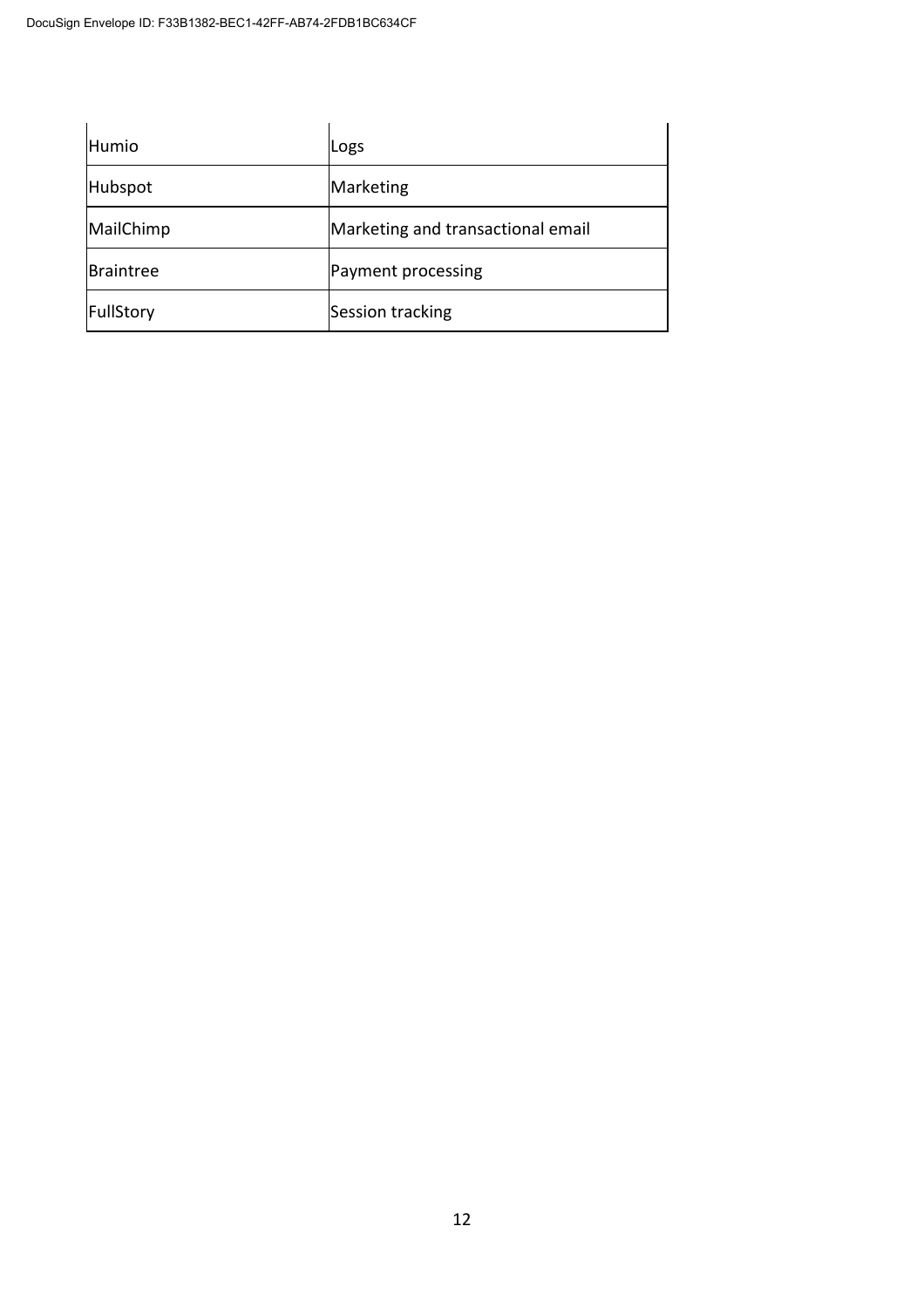| Humio     | Logs                              |
|-----------|-----------------------------------|
| Hubspot   | Marketing                         |
| MailChimp | Marketing and transactional email |
| Braintree | Payment processing                |
| FullStory | Session tracking                  |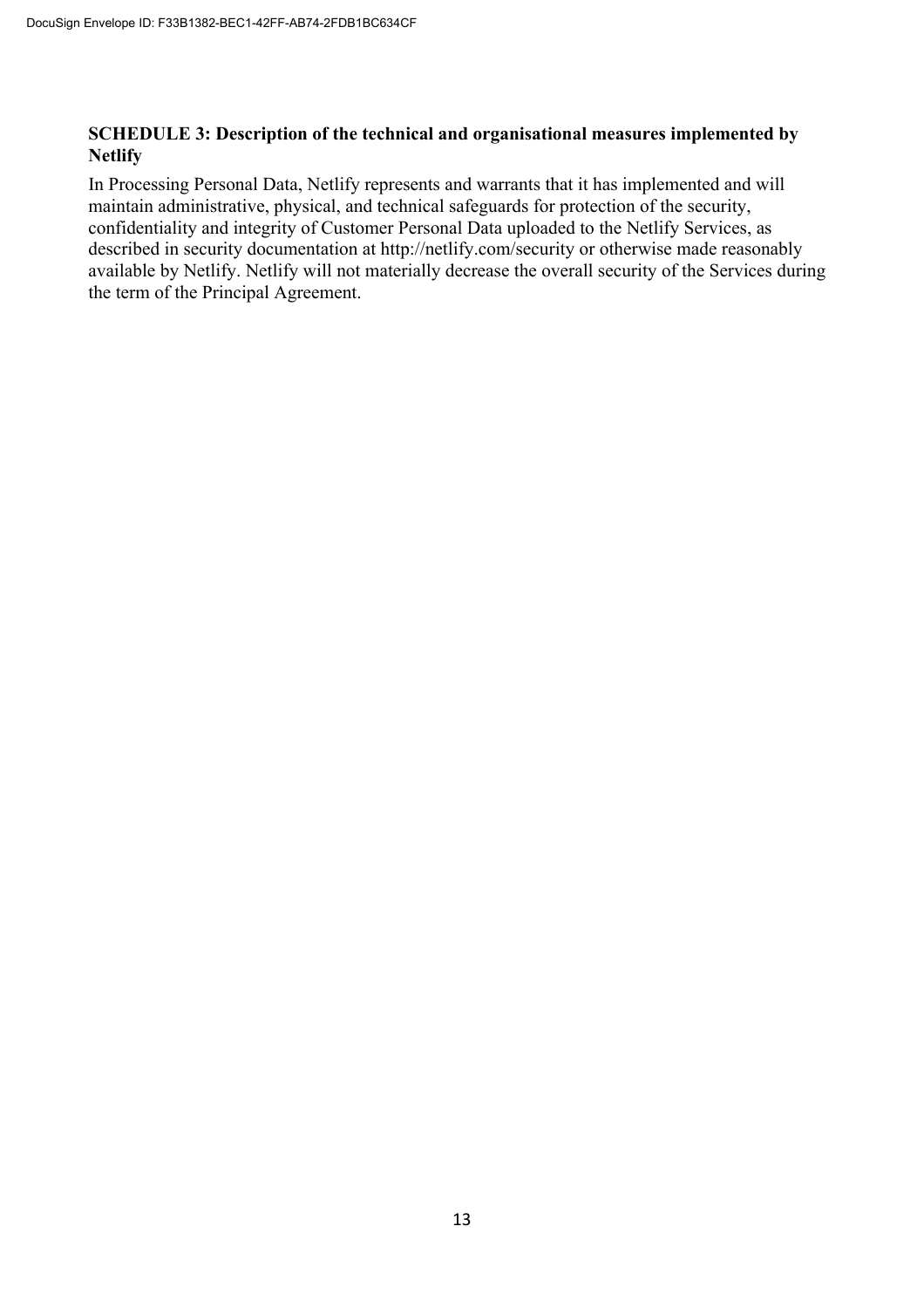### **SCHEDULE 3: Description of the technical and organisational measures implemented by Netlify**

In Processing Personal Data, Netlify represents and warrants that it has implemented and will maintain administrative, physical, and technical safeguards for protection of the security, confidentiality and integrity of Customer Personal Data uploaded to the Netlify Services, as described in security documentation at http://netlify.com/security or otherwise made reasonably available by Netlify. Netlify will not materially decrease the overall security of the Services during the term of the Principal Agreement.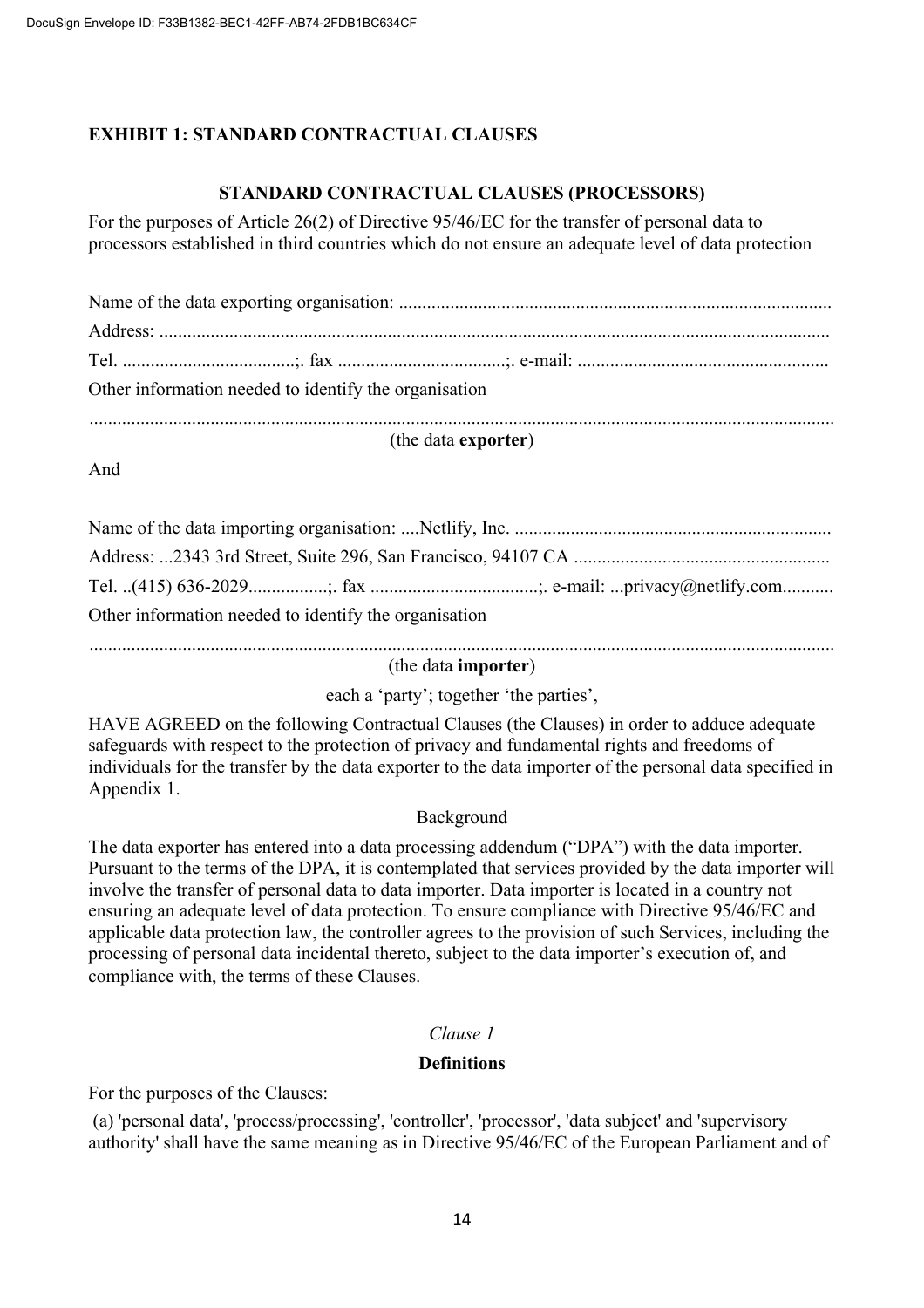# **EXHIBIT 1: STANDARD CONTRACTUAL CLAUSES**

# **STANDARD CONTRACTUAL CLAUSES (PROCESSORS)**

For the purposes of Article 26(2) of Directive 95/46/EC for the transfer of personal data to processors established in third countries which do not ensure an adequate level of data protection

| Other information needed to identify the organisation |  |  |  |
|-------------------------------------------------------|--|--|--|
| (the data exporter)                                   |  |  |  |

And

| Other information needed to identify the organisation |  |  |  |
|-------------------------------------------------------|--|--|--|
|                                                       |  |  |  |

(the data **importer**)

each a 'party'; together 'the parties',

HAVE AGREED on the following Contractual Clauses (the Clauses) in order to adduce adequate safeguards with respect to the protection of privacy and fundamental rights and freedoms of individuals for the transfer by the data exporter to the data importer of the personal data specified in Appendix 1.

# Background

The data exporter has entered into a data processing addendum ("DPA") with the data importer. Pursuant to the terms of the DPA, it is contemplated that services provided by the data importer will involve the transfer of personal data to data importer. Data importer is located in a country not ensuring an adequate level of data protection. To ensure compliance with Directive 95/46/EC and applicable data protection law, the controller agrees to the provision of such Services, including the processing of personal data incidental thereto, subject to the data importer's execution of, and compliance with, the terms of these Clauses.

# *Clause 1*

# **Definitions**

For the purposes of the Clauses:

(a) 'personal data', 'process/processing', 'controller', 'processor', 'data subject' and 'supervisory authority' shall have the same meaning as in Directive 95/46/EC of the European Parliament and of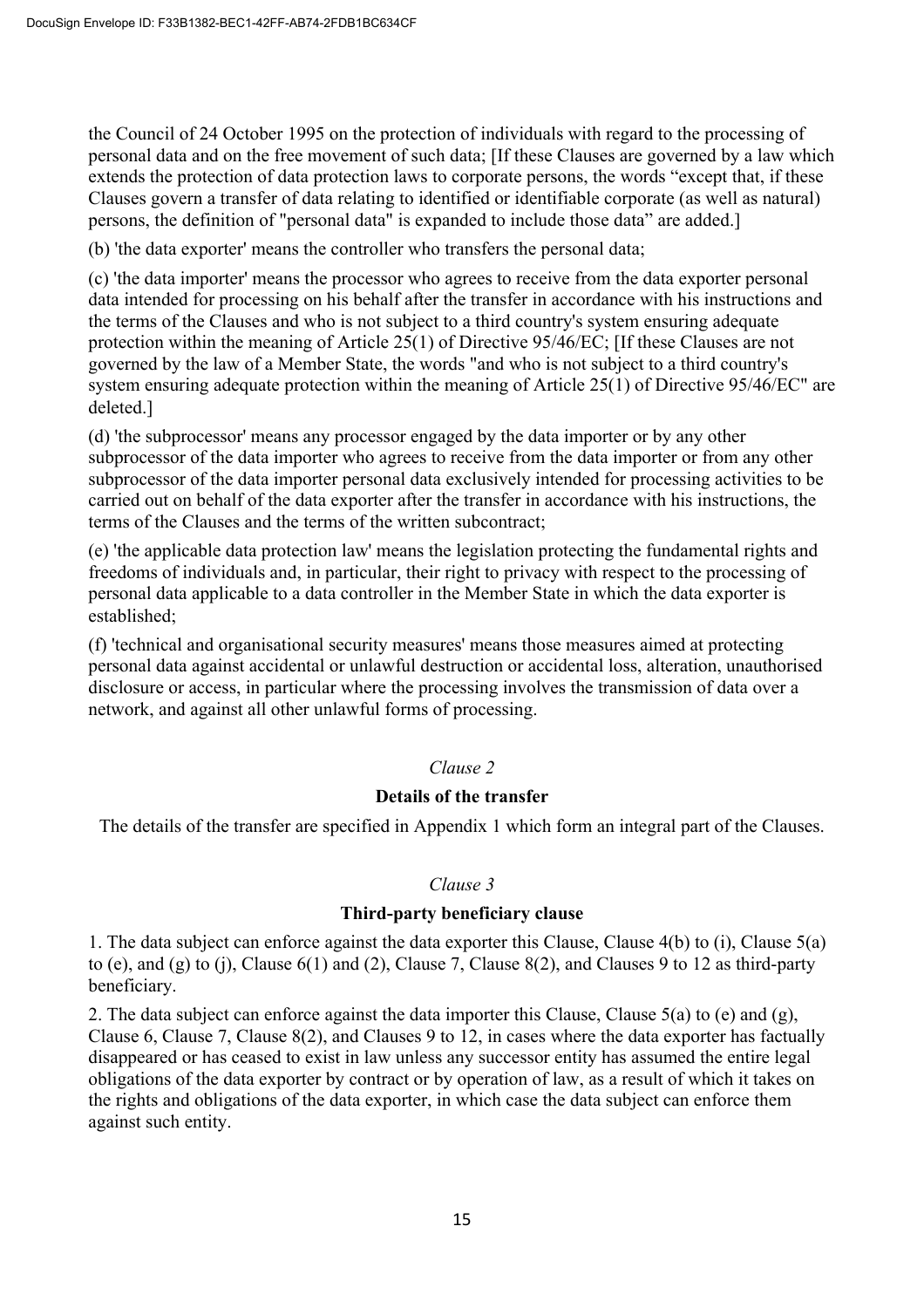the Council of 24 October 1995 on the protection of individuals with regard to the processing of personal data and on the free movement of such data; [If these Clauses are governed by a law which extends the protection of data protection laws to corporate persons, the words "except that, if these Clauses govern a transfer of data relating to identified or identifiable corporate (as well as natural) persons, the definition of "personal data" is expanded to include those data" are added.]

(b) 'the data exporter' means the controller who transfers the personal data;

(c) 'the data importer' means the processor who agrees to receive from the data exporter personal data intended for processing on his behalf after the transfer in accordance with his instructions and the terms of the Clauses and who is not subject to a third country's system ensuring adequate protection within the meaning of Article 25(1) of Directive 95/46/EC; [If these Clauses are not governed by the law of a Member State, the words "and who is not subject to a third country's system ensuring adequate protection within the meaning of Article 25(1) of Directive 95/46/EC" are deleted.]

(d) 'the subprocessor' means any processor engaged by the data importer or by any other subprocessor of the data importer who agrees to receive from the data importer or from any other subprocessor of the data importer personal data exclusively intended for processing activities to be carried out on behalf of the data exporter after the transfer in accordance with his instructions, the terms of the Clauses and the terms of the written subcontract;

(e) 'the applicable data protection law' means the legislation protecting the fundamental rights and freedoms of individuals and, in particular, their right to privacy with respect to the processing of personal data applicable to a data controller in the Member State in which the data exporter is established;

(f) 'technical and organisational security measures' means those measures aimed at protecting personal data against accidental or unlawful destruction or accidental loss, alteration, unauthorised disclosure or access, in particular where the processing involves the transmission of data over a network, and against all other unlawful forms of processing.

### *Clause 2*

### **Details of the transfer**

The details of the transfer are specified in Appendix 1 which form an integral part of the Clauses.

### *Clause 3*

#### **Third-party beneficiary clause**

1. The data subject can enforce against the data exporter this Clause, Clause 4(b) to (i), Clause 5(a) to (e), and (g) to (j), Clause  $6(1)$  and (2), Clause 7, Clause  $8(2)$ , and Clauses 9 to 12 as third-party beneficiary.

2. The data subject can enforce against the data importer this Clause, Clause 5(a) to (e) and (g), Clause 6, Clause 7, Clause 8(2), and Clauses 9 to 12, in cases where the data exporter has factually disappeared or has ceased to exist in law unless any successor entity has assumed the entire legal obligations of the data exporter by contract or by operation of law, as a result of which it takes on the rights and obligations of the data exporter, in which case the data subject can enforce them against such entity.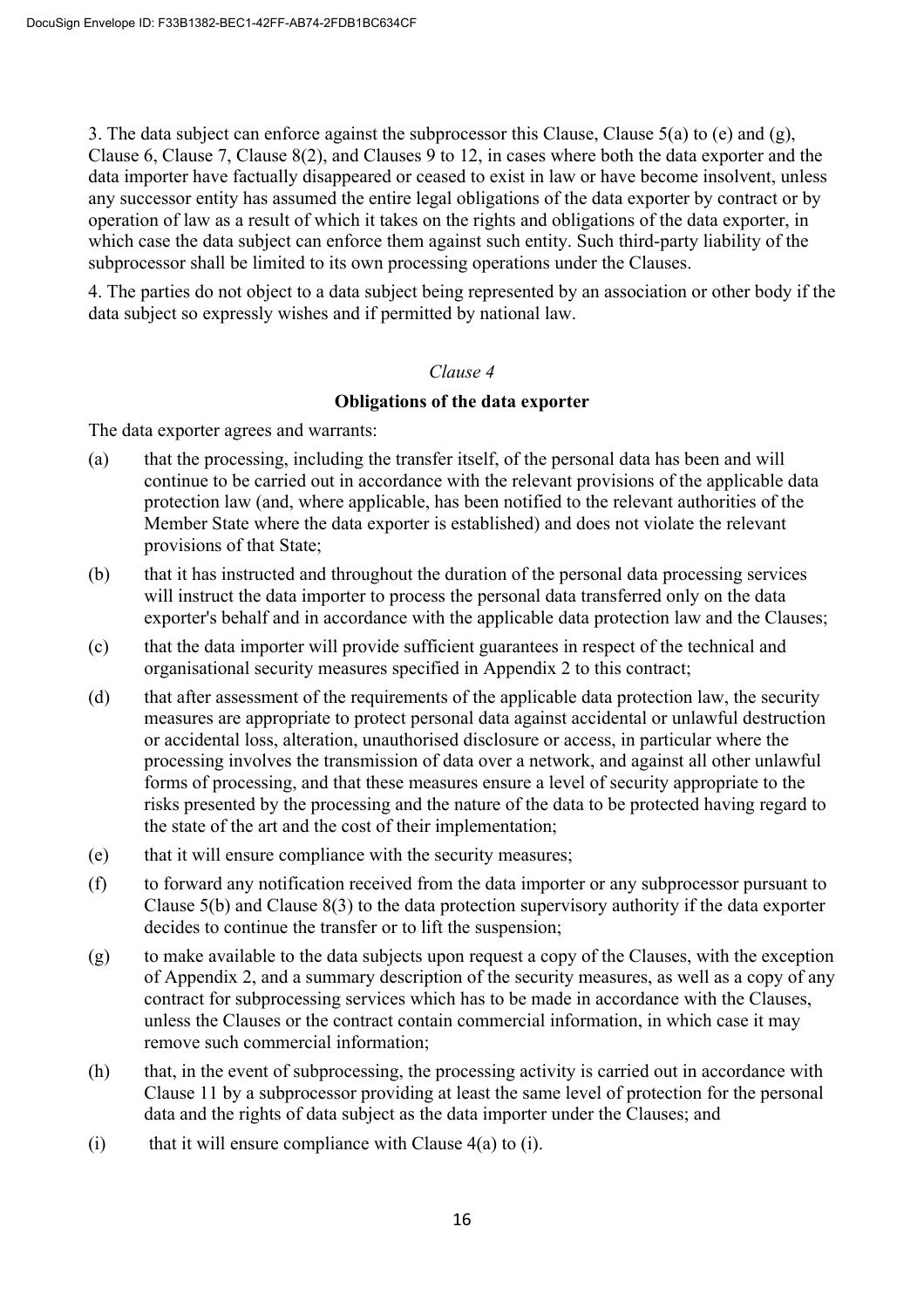3. The data subject can enforce against the subprocessor this Clause, Clause 5(a) to (e) and (g), Clause 6, Clause 7, Clause 8(2), and Clauses 9 to 12, in cases where both the data exporter and the data importer have factually disappeared or ceased to exist in law or have become insolvent, unless any successor entity has assumed the entire legal obligations of the data exporter by contract or by operation of law as a result of which it takes on the rights and obligations of the data exporter, in which case the data subject can enforce them against such entity. Such third-party liability of the subprocessor shall be limited to its own processing operations under the Clauses.

4. The parties do not object to a data subject being represented by an association or other body if the data subject so expressly wishes and if permitted by national law.

### *Clause 4*

### **Obligations of the data exporter**

The data exporter agrees and warrants:

- (a) that the processing, including the transfer itself, of the personal data has been and will continue to be carried out in accordance with the relevant provisions of the applicable data protection law (and, where applicable, has been notified to the relevant authorities of the Member State where the data exporter is established) and does not violate the relevant provisions of that State;
- (b) that it has instructed and throughout the duration of the personal data processing services will instruct the data importer to process the personal data transferred only on the data exporter's behalf and in accordance with the applicable data protection law and the Clauses;
- (c) that the data importer will provide sufficient guarantees in respect of the technical and organisational security measures specified in Appendix 2 to this contract;
- (d) that after assessment of the requirements of the applicable data protection law, the security measures are appropriate to protect personal data against accidental or unlawful destruction or accidental loss, alteration, unauthorised disclosure or access, in particular where the processing involves the transmission of data over a network, and against all other unlawful forms of processing, and that these measures ensure a level of security appropriate to the risks presented by the processing and the nature of the data to be protected having regard to the state of the art and the cost of their implementation;
- (e) that it will ensure compliance with the security measures;
- (f) to forward any notification received from the data importer or any subprocessor pursuant to Clause 5(b) and Clause 8(3) to the data protection supervisory authority if the data exporter decides to continue the transfer or to lift the suspension;
- (g) to make available to the data subjects upon request a copy of the Clauses, with the exception of Appendix 2, and a summary description of the security measures, as well as a copy of any contract for subprocessing services which has to be made in accordance with the Clauses, unless the Clauses or the contract contain commercial information, in which case it may remove such commercial information;
- (h) that, in the event of subprocessing, the processing activity is carried out in accordance with Clause 11 by a subprocessor providing at least the same level of protection for the personal data and the rights of data subject as the data importer under the Clauses; and
- (i) that it will ensure compliance with Clause  $4(a)$  to (i).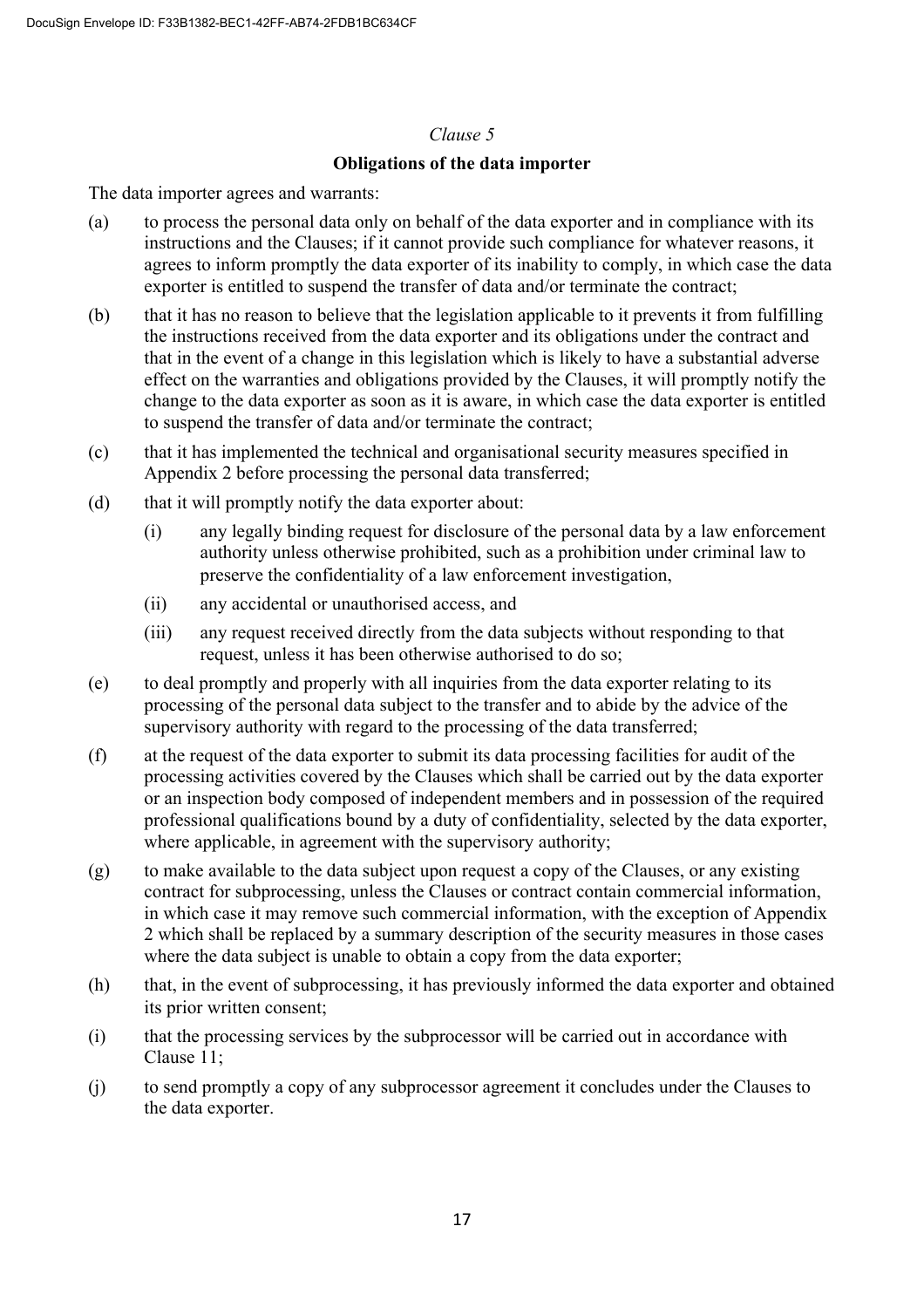### **Obligations of the data importer**

The data importer agrees and warrants:

- (a) to process the personal data only on behalf of the data exporter and in compliance with its instructions and the Clauses; if it cannot provide such compliance for whatever reasons, it agrees to inform promptly the data exporter of its inability to comply, in which case the data exporter is entitled to suspend the transfer of data and/or terminate the contract;
- (b) that it has no reason to believe that the legislation applicable to it prevents it from fulfilling the instructions received from the data exporter and its obligations under the contract and that in the event of a change in this legislation which is likely to have a substantial adverse effect on the warranties and obligations provided by the Clauses, it will promptly notify the change to the data exporter as soon as it is aware, in which case the data exporter is entitled to suspend the transfer of data and/or terminate the contract;
- (c) that it has implemented the technical and organisational security measures specified in Appendix 2 before processing the personal data transferred;
- (d) that it will promptly notify the data exporter about:
	- (i) any legally binding request for disclosure of the personal data by a law enforcement authority unless otherwise prohibited, such as a prohibition under criminal law to preserve the confidentiality of a law enforcement investigation,
	- (ii) any accidental or unauthorised access, and
	- (iii) any request received directly from the data subjects without responding to that request, unless it has been otherwise authorised to do so;
- (e) to deal promptly and properly with all inquiries from the data exporter relating to its processing of the personal data subject to the transfer and to abide by the advice of the supervisory authority with regard to the processing of the data transferred;
- (f) at the request of the data exporter to submit its data processing facilities for audit of the processing activities covered by the Clauses which shall be carried out by the data exporter or an inspection body composed of independent members and in possession of the required professional qualifications bound by a duty of confidentiality, selected by the data exporter, where applicable, in agreement with the supervisory authority;
- (g) to make available to the data subject upon request a copy of the Clauses, or any existing contract for subprocessing, unless the Clauses or contract contain commercial information, in which case it may remove such commercial information, with the exception of Appendix 2 which shall be replaced by a summary description of the security measures in those cases where the data subject is unable to obtain a copy from the data exporter;
- (h) that, in the event of subprocessing, it has previously informed the data exporter and obtained its prior written consent;
- (i) that the processing services by the subprocessor will be carried out in accordance with Clause 11;
- (j) to send promptly a copy of any subprocessor agreement it concludes under the Clauses to the data exporter.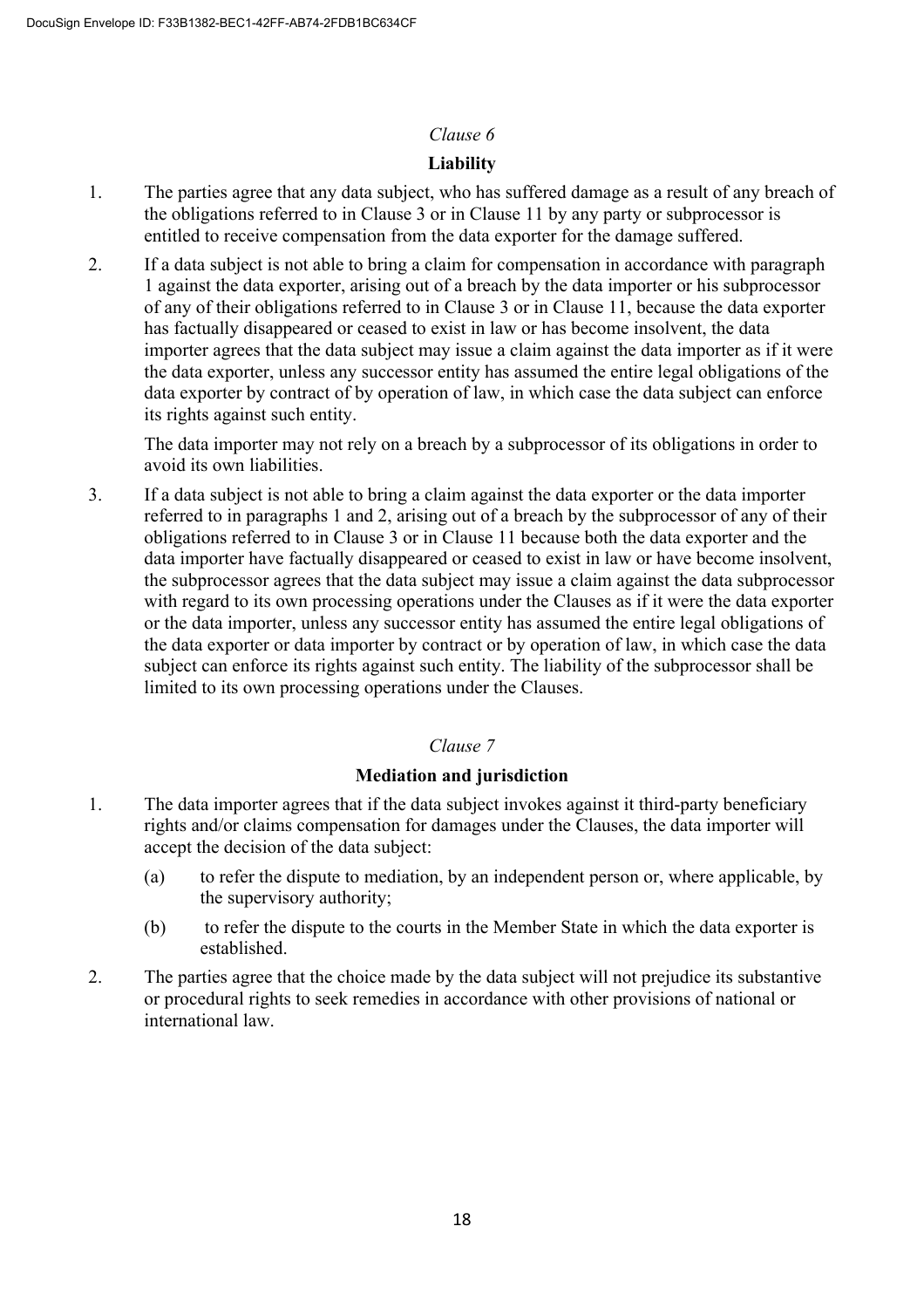# **Liability**

- 1. The parties agree that any data subject, who has suffered damage as a result of any breach of the obligations referred to in Clause 3 or in Clause 11 by any party or subprocessor is entitled to receive compensation from the data exporter for the damage suffered.
- 2. If a data subject is not able to bring a claim for compensation in accordance with paragraph 1 against the data exporter, arising out of a breach by the data importer or his subprocessor of any of their obligations referred to in Clause 3 or in Clause 11, because the data exporter has factually disappeared or ceased to exist in law or has become insolvent, the data importer agrees that the data subject may issue a claim against the data importer as if it were the data exporter, unless any successor entity has assumed the entire legal obligations of the data exporter by contract of by operation of law, in which case the data subject can enforce its rights against such entity.

The data importer may not rely on a breach by a subprocessor of its obligations in order to avoid its own liabilities.

3. If a data subject is not able to bring a claim against the data exporter or the data importer referred to in paragraphs 1 and 2, arising out of a breach by the subprocessor of any of their obligations referred to in Clause 3 or in Clause 11 because both the data exporter and the data importer have factually disappeared or ceased to exist in law or have become insolvent, the subprocessor agrees that the data subject may issue a claim against the data subprocessor with regard to its own processing operations under the Clauses as if it were the data exporter or the data importer, unless any successor entity has assumed the entire legal obligations of the data exporter or data importer by contract or by operation of law, in which case the data subject can enforce its rights against such entity. The liability of the subprocessor shall be limited to its own processing operations under the Clauses.

# *Clause 7*

# **Mediation and jurisdiction**

- 1. The data importer agrees that if the data subject invokes against it third-party beneficiary rights and/or claims compensation for damages under the Clauses, the data importer will accept the decision of the data subject:
	- (a) to refer the dispute to mediation, by an independent person or, where applicable, by the supervisory authority;
	- (b) to refer the dispute to the courts in the Member State in which the data exporter is established.
- 2. The parties agree that the choice made by the data subject will not prejudice its substantive or procedural rights to seek remedies in accordance with other provisions of national or international law.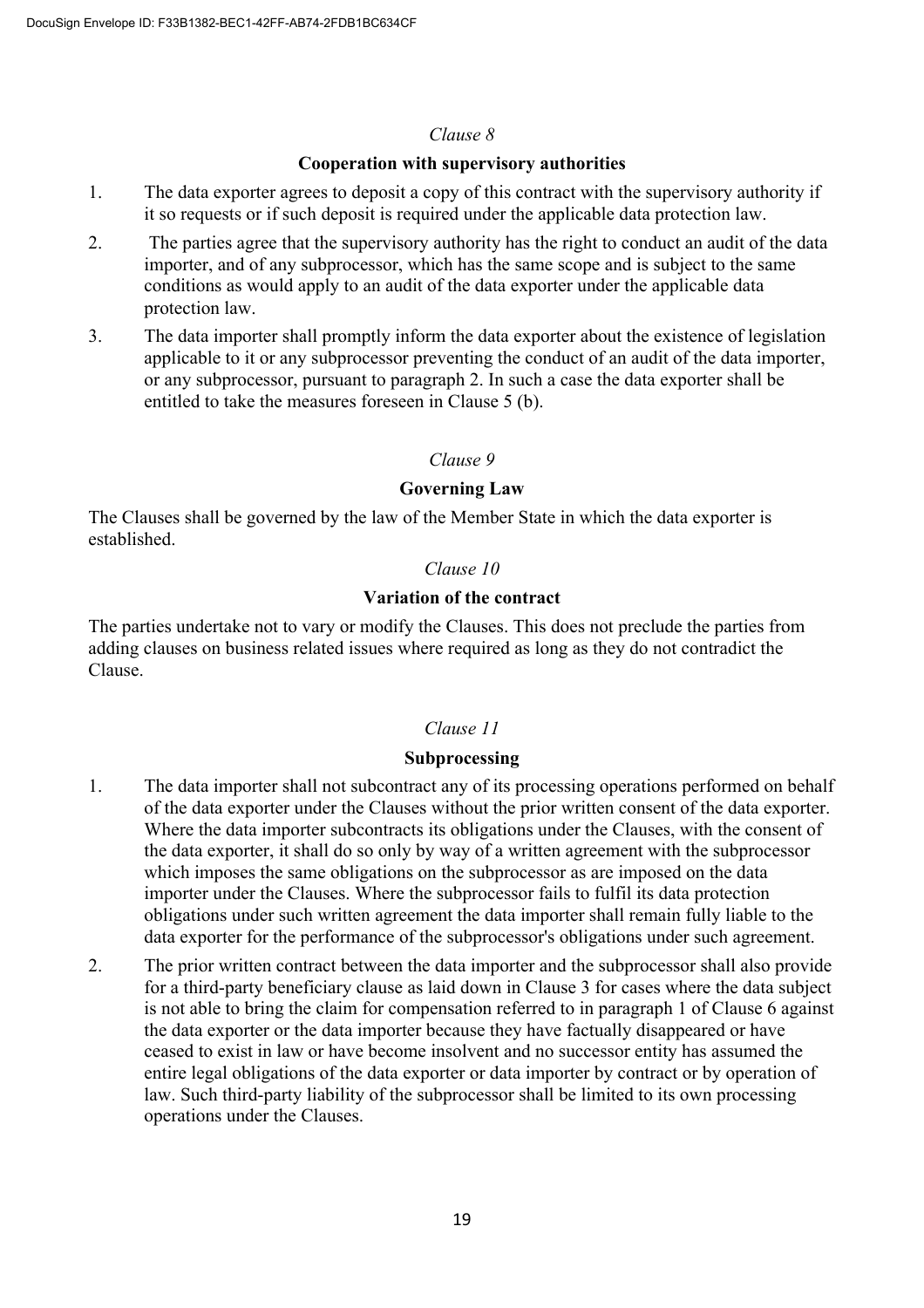#### **Cooperation with supervisory authorities**

- 1. The data exporter agrees to deposit a copy of this contract with the supervisory authority if it so requests or if such deposit is required under the applicable data protection law.
- 2. The parties agree that the supervisory authority has the right to conduct an audit of the data importer, and of any subprocessor, which has the same scope and is subject to the same conditions as would apply to an audit of the data exporter under the applicable data protection law.
- 3. The data importer shall promptly inform the data exporter about the existence of legislation applicable to it or any subprocessor preventing the conduct of an audit of the data importer, or any subprocessor, pursuant to paragraph 2. In such a case the data exporter shall be entitled to take the measures foreseen in Clause 5 (b).

### *Clause 9*

### **Governing Law**

The Clauses shall be governed by the law of the Member State in which the data exporter is established.

### *Clause 10*

### **Variation of the contract**

The parties undertake not to vary or modify the Clauses. This does not preclude the parties from adding clauses on business related issues where required as long as they do not contradict the Clause.

# *Clause 11*

### **Subprocessing**

- 1. The data importer shall not subcontract any of its processing operations performed on behalf of the data exporter under the Clauses without the prior written consent of the data exporter. Where the data importer subcontracts its obligations under the Clauses, with the consent of the data exporter, it shall do so only by way of a written agreement with the subprocessor which imposes the same obligations on the subprocessor as are imposed on the data importer under the Clauses. Where the subprocessor fails to fulfil its data protection obligations under such written agreement the data importer shall remain fully liable to the data exporter for the performance of the subprocessor's obligations under such agreement.
- 2. The prior written contract between the data importer and the subprocessor shall also provide for a third-party beneficiary clause as laid down in Clause 3 for cases where the data subject is not able to bring the claim for compensation referred to in paragraph 1 of Clause 6 against the data exporter or the data importer because they have factually disappeared or have ceased to exist in law or have become insolvent and no successor entity has assumed the entire legal obligations of the data exporter or data importer by contract or by operation of law. Such third-party liability of the subprocessor shall be limited to its own processing operations under the Clauses.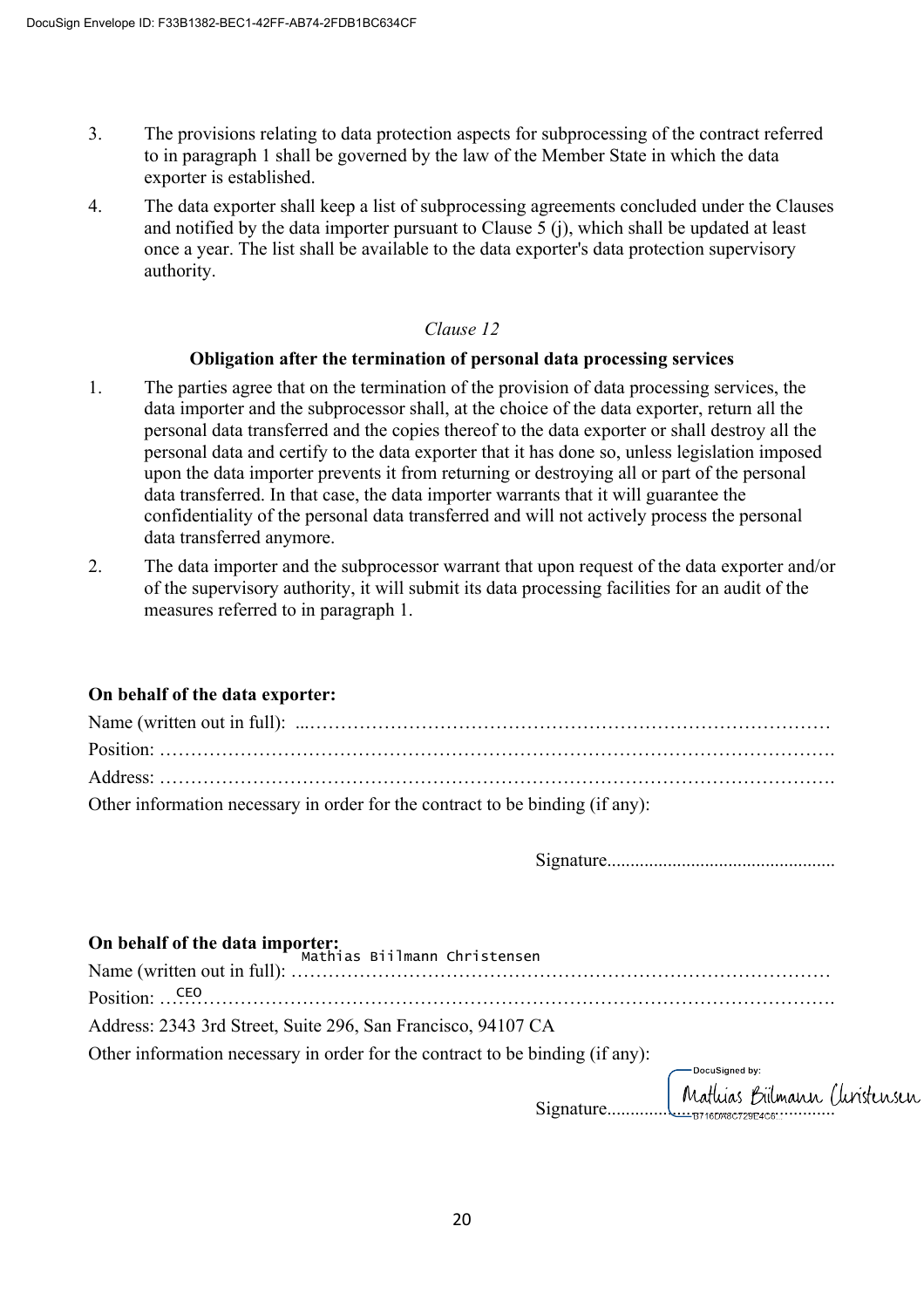- 3. The provisions relating to data protection aspects for subprocessing of the contract referred to in paragraph 1 shall be governed by the law of the Member State in which the data exporter is established.
- 4. The data exporter shall keep a list of subprocessing agreements concluded under the Clauses and notified by the data importer pursuant to Clause 5 (j), which shall be updated at least once a year. The list shall be available to the data exporter's data protection supervisory authority.

#### **Obligation after the termination of personal data processing services**

- 1. The parties agree that on the termination of the provision of data processing services, the data importer and the subprocessor shall, at the choice of the data exporter, return all the personal data transferred and the copies thereof to the data exporter or shall destroy all the personal data and certify to the data exporter that it has done so, unless legislation imposed upon the data importer prevents it from returning or destroying all or part of the personal data transferred. In that case, the data importer warrants that it will guarantee the confidentiality of the personal data transferred and will not actively process the personal data transferred anymore.
- 2. The data importer and the subprocessor warrant that upon request of the data exporter and/or of the supervisory authority, it will submit its data processing facilities for an audit of the measures referred to in paragraph 1.

### **On behalf of the data exporter:**

| Other information necessary in order for the contract to be binding (if any): |
|-------------------------------------------------------------------------------|

Signature.................................................

| On behalf of the data importer:<br>Mathias Biilmann Christensen               |  |
|-------------------------------------------------------------------------------|--|
|                                                                               |  |
| Position: CEO                                                                 |  |
| Address: 2343 3rd Street, Suite 296, San Francisco, 94107 CA                  |  |
| Other information necessary in order for the contract to be binding (if any): |  |
|                                                                               |  |
|                                                                               |  |
|                                                                               |  |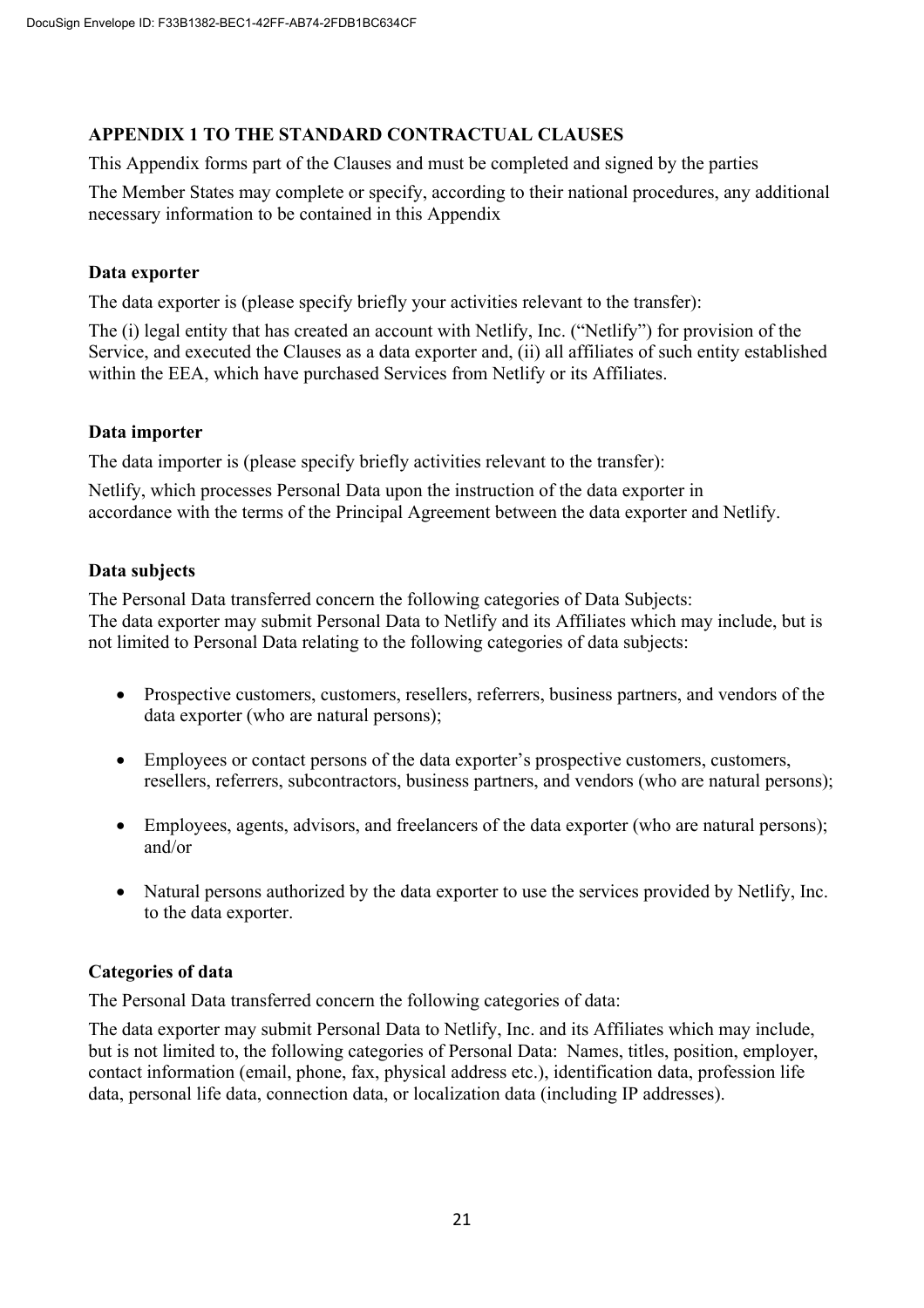# **APPENDIX 1 TO THE STANDARD CONTRACTUAL CLAUSES**

This Appendix forms part of the Clauses and must be completed and signed by the parties

The Member States may complete or specify, according to their national procedures, any additional necessary information to be contained in this Appendix

### **Data exporter**

The data exporter is (please specify briefly your activities relevant to the transfer):

The (i) legal entity that has created an account with Netlify, Inc. ("Netlify") for provision of the Service, and executed the Clauses as a data exporter and, (ii) all affiliates of such entity established within the EEA, which have purchased Services from Netlify or its Affiliates.

### **Data importer**

The data importer is (please specify briefly activities relevant to the transfer):

Netlify, which processes Personal Data upon the instruction of the data exporter in accordance with the terms of the Principal Agreement between the data exporter and Netlify.

### **Data subjects**

The Personal Data transferred concern the following categories of Data Subjects: The data exporter may submit Personal Data to Netlify and its Affiliates which may include, but is not limited to Personal Data relating to the following categories of data subjects:

- Prospective customers, customers, resellers, referrers, business partners, and vendors of the data exporter (who are natural persons);
- Employees or contact persons of the data exporter's prospective customers, customers, resellers, referrers, subcontractors, business partners, and vendors (who are natural persons);
- Employees, agents, advisors, and freelancers of the data exporter (who are natural persons); and/or
- Natural persons authorized by the data exporter to use the services provided by Netlify, Inc. to the data exporter.

# **Categories of data**

The Personal Data transferred concern the following categories of data:

The data exporter may submit Personal Data to Netlify, Inc. and its Affiliates which may include, but is not limited to, the following categories of Personal Data: Names, titles, position, employer, contact information (email, phone, fax, physical address etc.), identification data, profession life data, personal life data, connection data, or localization data (including IP addresses).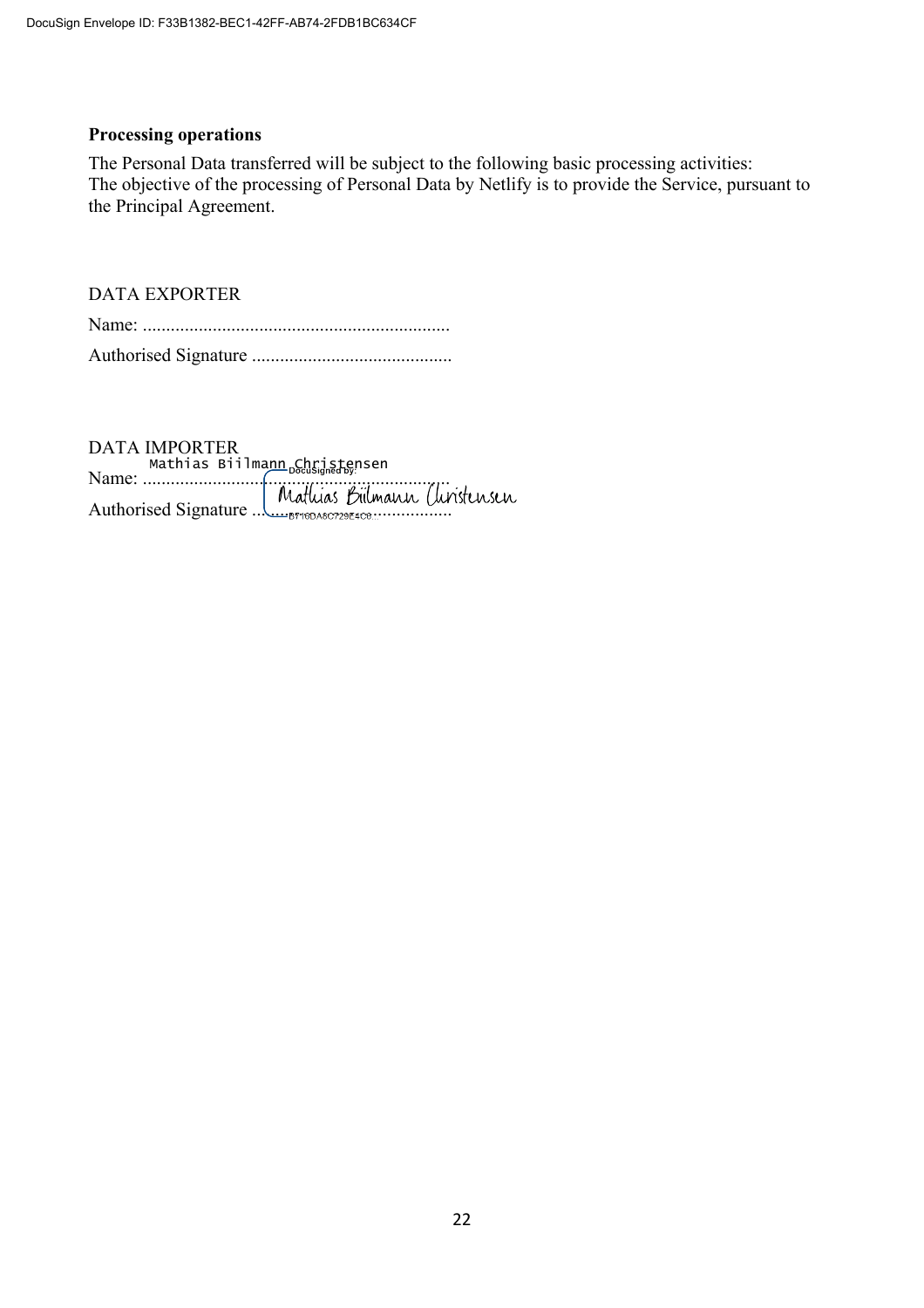### **Processing operations**

The Personal Data transferred will be subject to the following basic processing activities: The objective of the processing of Personal Data by Netlify is to provide the Service, pursuant to the Principal Agreement.

### DATA EXPORTER

DATA IMPORTER Name: .................................................................. Authorised Signature ........................................... Mathias Biilma<u>nn Christe</u>nsen